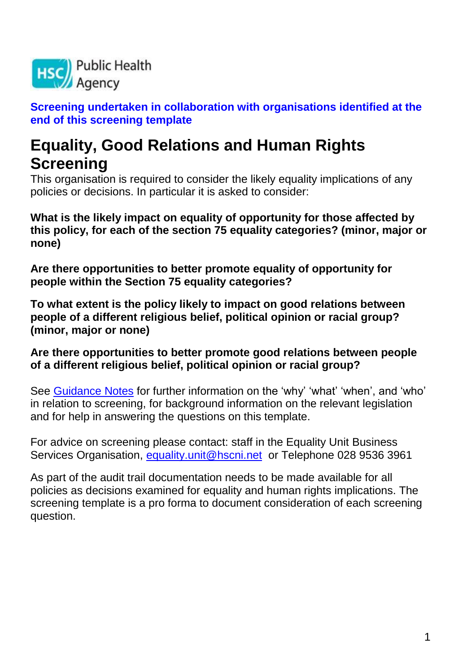

**Screening undertaken in collaboration with organisations identified at the end of this screening template** 

# **Equality, Good Relations and Human Rights Screening**

This organisation is required to consider the likely equality implications of any policies or decisions. In particular it is asked to consider:

**What is the likely impact on equality of opportunity for those affected by this policy, for each of the section 75 equality categories? (minor, major or none)**

**Are there opportunities to better promote equality of opportunity for people within the Section 75 equality categories?**

**To what extent is the policy likely to impact on good relations between people of a different religious belief, political opinion or racial group? (minor, major or none)**

### **Are there opportunities to better promote good relations between people of a different religious belief, political opinion or racial group?**

See [Guidance Notes](file:///C:/Documents%20and%20Settings/mcgladea/Local%20Settings/Documents%20and%20Settings/mcgladea/Local%20Settings/Documents%20and%20Settings/mcgladea/Local%20Settings/Documents%20and%20Settings/mcgladea/Local%20Settings/Temporary%20Internet%20Files/AppData/Local/Microsoft/Windows/Temporary%20Internet%20Files/Low/Content.IE5/DN099VFZ/HSC%20Screening_guidance%20Oct%202010.doc) for further information on the 'why' 'what' 'when', and 'who' in relation to screening, for background information on the relevant legislation and for help in answering the questions on this template.

For advice on screening please contact: staff in the Equality Unit Business Services Organisation, [equality.unit@hscni.net](mailto:equality.unit@hscni.net) or Telephone 028 9536 3961

As part of the audit trail documentation needs to be made available for all policies as decisions examined for equality and human rights implications. The screening template is a pro forma to document consideration of each screening question.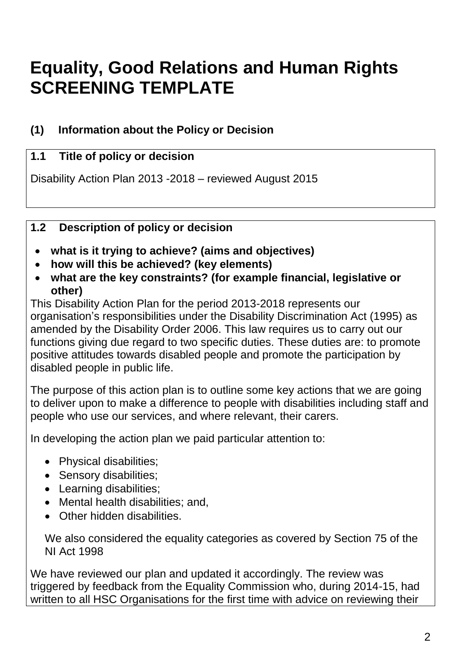# **Equality, Good Relations and Human Rights SCREENING TEMPLATE**

# **(1) Information about the Policy or Decision**

# **1.1 Title of policy or decision**

Disability Action Plan 2013 -2018 – reviewed August 2015

# **1.2 Description of policy or decision**

- **what is it trying to achieve? (aims and objectives)**
- **how will this be achieved? (key elements)**
- **what are the key constraints? (for example financial, legislative or other)**

This Disability Action Plan for the period 2013-2018 represents our organisation's responsibilities under the Disability Discrimination Act (1995) as amended by the Disability Order 2006. This law requires us to carry out our functions giving due regard to two specific duties. These duties are: to promote positive attitudes towards disabled people and promote the participation by disabled people in public life.

The purpose of this action plan is to outline some key actions that we are going to deliver upon to make a difference to people with disabilities including staff and people who use our services, and where relevant, their carers.

In developing the action plan we paid particular attention to:

- Physical disabilities;
- Sensory disabilities;
- Learning disabilities;
- Mental health disabilities; and,
- Other hidden disabilities.

We also considered the equality categories as covered by Section 75 of the NI Act 1998

We have reviewed our plan and updated it accordingly. The review was triggered by feedback from the Equality Commission who, during 2014-15, had written to all HSC Organisations for the first time with advice on reviewing their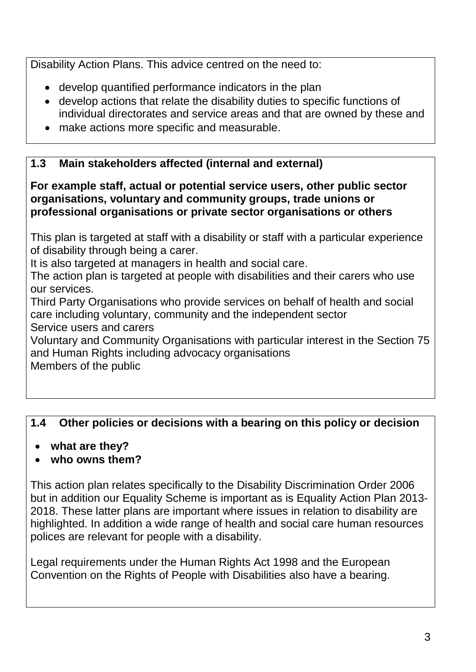Disability Action Plans. This advice centred on the need to:

- develop quantified performance indicators in the plan
- develop actions that relate the disability duties to specific functions of individual directorates and service areas and that are owned by these and
- make actions more specific and measurable.

# **1.3 Main stakeholders affected (internal and external)**

**For example staff, actual or potential service users, other public sector organisations, voluntary and community groups, trade unions or professional organisations or private sector organisations or others**

This plan is targeted at staff with a disability or staff with a particular experience of disability through being a carer.

It is also targeted at managers in health and social care.

The action plan is targeted at people with disabilities and their carers who use our services.

Third Party Organisations who provide services on behalf of health and social care including voluntary, community and the independent sector

Service users and carers

Voluntary and Community Organisations with particular interest in the Section 75 and Human Rights including advocacy organisations Members of the public

# **1.4 Other policies or decisions with a bearing on this policy or decision**

- **what are they?**
- **who owns them?**

This action plan relates specifically to the Disability Discrimination Order 2006 but in addition our Equality Scheme is important as is Equality Action Plan 2013- 2018. These latter plans are important where issues in relation to disability are highlighted. In addition a wide range of health and social care human resources polices are relevant for people with a disability.

Legal requirements under the Human Rights Act 1998 and the European Convention on the Rights of People with Disabilities also have a bearing.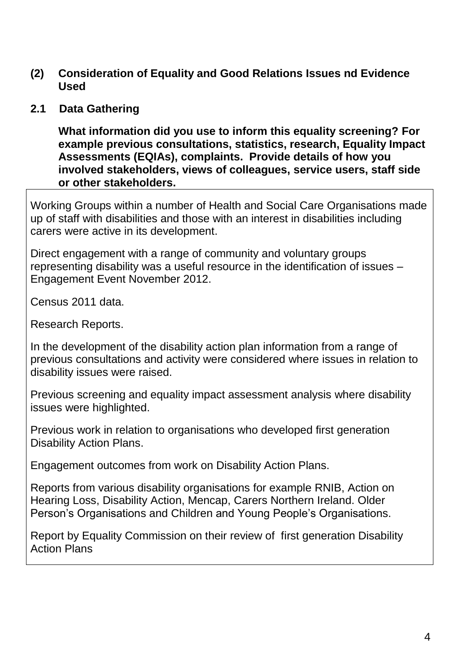- **(2) Consideration of Equality and Good Relations Issues nd Evidence Used**
- **2.1 Data Gathering**

**What information did you use to inform this equality screening? For example previous consultations, statistics, research, Equality Impact Assessments (EQIAs), complaints. Provide details of how you involved stakeholders, views of colleagues, service users, staff side or other stakeholders.**

Working Groups within a number of Health and Social Care Organisations made up of staff with disabilities and those with an interest in disabilities including carers were active in its development.

Direct engagement with a range of community and voluntary groups representing disability was a useful resource in the identification of issues – Engagement Event November 2012.

Census 2011 data.

Research Reports.

In the development of the disability action plan information from a range of previous consultations and activity were considered where issues in relation to disability issues were raised.

Previous screening and equality impact assessment analysis where disability issues were highlighted.

Previous work in relation to organisations who developed first generation Disability Action Plans.

Engagement outcomes from work on Disability Action Plans.

Reports from various disability organisations for example RNIB, Action on Hearing Loss, Disability Action, Mencap, Carers Northern Ireland. Older Person's Organisations and Children and Young People's Organisations.

Report by Equality Commission on their review of first generation Disability Action Plans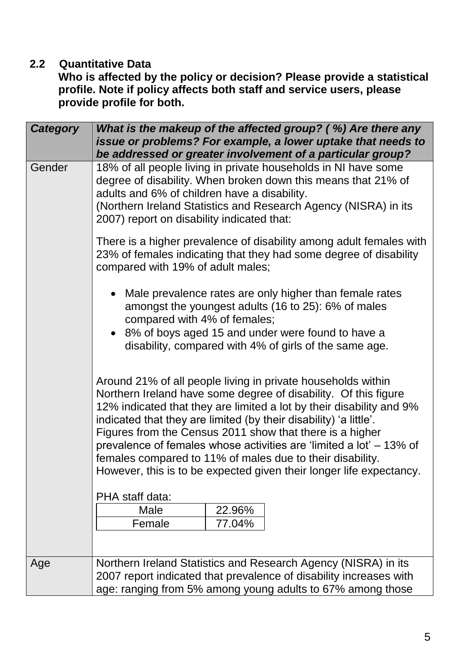### **2.2 Quantitative Data**

**Who is affected by the policy or decision? Please provide a statistical profile. Note if policy affects both staff and service users, please provide profile for both.**

| <b>Category</b> | What is the makeup of the affected group? (%) Are there any<br>issue or problems? For example, a lower uptake that needs to<br>be addressed or greater involvement of a particular group?                                                                                                                                                                                                                                                                                                                                                           |
|-----------------|-----------------------------------------------------------------------------------------------------------------------------------------------------------------------------------------------------------------------------------------------------------------------------------------------------------------------------------------------------------------------------------------------------------------------------------------------------------------------------------------------------------------------------------------------------|
| Gender          | 18% of all people living in private households in NI have some<br>degree of disability. When broken down this means that 21% of<br>adults and 6% of children have a disability.<br>(Northern Ireland Statistics and Research Agency (NISRA) in its<br>2007) report on disability indicated that:                                                                                                                                                                                                                                                    |
|                 | There is a higher prevalence of disability among adult females with<br>23% of females indicating that they had some degree of disability<br>compared with 19% of adult males;                                                                                                                                                                                                                                                                                                                                                                       |
|                 | Male prevalence rates are only higher than female rates<br>amongst the youngest adults (16 to 25): 6% of males<br>compared with 4% of females;<br>• 8% of boys aged 15 and under were found to have a<br>disability, compared with 4% of girls of the same age.                                                                                                                                                                                                                                                                                     |
|                 | Around 21% of all people living in private households within<br>Northern Ireland have some degree of disability. Of this figure<br>12% indicated that they are limited a lot by their disability and 9%<br>indicated that they are limited (by their disability) 'a little'.<br>Figures from the Census 2011 show that there is a higher<br>prevalence of females whose activities are 'limited a lot' – 13% of<br>females compared to 11% of males due to their disability.<br>However, this is to be expected given their longer life expectancy. |
|                 | PHA staff data:<br>Male<br>22.96%<br>Female<br>77.04%                                                                                                                                                                                                                                                                                                                                                                                                                                                                                               |
| Age             | Northern Ireland Statistics and Research Agency (NISRA) in its<br>2007 report indicated that prevalence of disability increases with<br>age: ranging from 5% among young adults to 67% among those                                                                                                                                                                                                                                                                                                                                                  |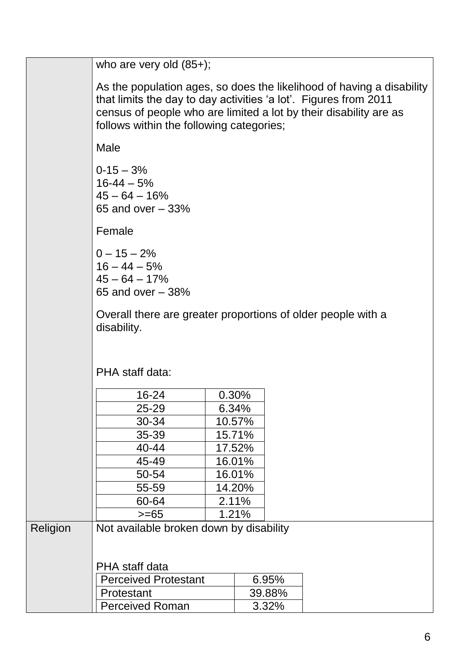|          | who are very old $(85+)$ ;                                                                                                                                                                                                                                 |       |        |        |  |
|----------|------------------------------------------------------------------------------------------------------------------------------------------------------------------------------------------------------------------------------------------------------------|-------|--------|--------|--|
|          |                                                                                                                                                                                                                                                            |       |        |        |  |
|          | As the population ages, so does the likelihood of having a disability<br>that limits the day to day activities 'a lot'. Figures from 2011<br>census of people who are limited a lot by their disability are as<br>follows within the following categories; |       |        |        |  |
|          | Male                                                                                                                                                                                                                                                       |       |        |        |  |
|          | $0-15-3%$<br>$16 - 44 - 5%$<br>$45 - 64 - 16%$<br>65 and over $-33%$                                                                                                                                                                                       |       |        |        |  |
|          | Female                                                                                                                                                                                                                                                     |       |        |        |  |
|          | $0 - 15 - 2%$<br>$16 - 44 - 5%$<br>$45 - 64 - 17%$<br>65 and over $-38%$                                                                                                                                                                                   |       |        |        |  |
|          | Overall there are greater proportions of older people with a<br>disability.                                                                                                                                                                                |       |        |        |  |
|          |                                                                                                                                                                                                                                                            |       |        |        |  |
|          | PHA staff data:                                                                                                                                                                                                                                            |       |        |        |  |
|          | 16-24                                                                                                                                                                                                                                                      | 0.30% |        |        |  |
|          | 25-29                                                                                                                                                                                                                                                      | 6.34% |        |        |  |
|          | 30-34                                                                                                                                                                                                                                                      |       | 10.57% |        |  |
|          | 35-39                                                                                                                                                                                                                                                      |       | 15.71% |        |  |
|          | 40-44                                                                                                                                                                                                                                                      |       | 17.52% |        |  |
|          | 45-49                                                                                                                                                                                                                                                      |       | 16.01% |        |  |
|          | 50-54                                                                                                                                                                                                                                                      |       | 16.01% |        |  |
|          | 55-59                                                                                                                                                                                                                                                      |       | 14.20% |        |  |
|          | 60-64                                                                                                                                                                                                                                                      |       | 2.11%  |        |  |
|          | $>= 65$                                                                                                                                                                                                                                                    |       | 1.21%  |        |  |
| Religion | Not available broken down by disability                                                                                                                                                                                                                    |       |        |        |  |
|          | PHA staff data                                                                                                                                                                                                                                             |       |        |        |  |
|          | <b>Perceived Protestant</b>                                                                                                                                                                                                                                |       |        | 6.95%  |  |
|          | Protestant                                                                                                                                                                                                                                                 |       |        | 39.88% |  |
|          | <b>Perceived Roman</b>                                                                                                                                                                                                                                     |       |        | 3.32%  |  |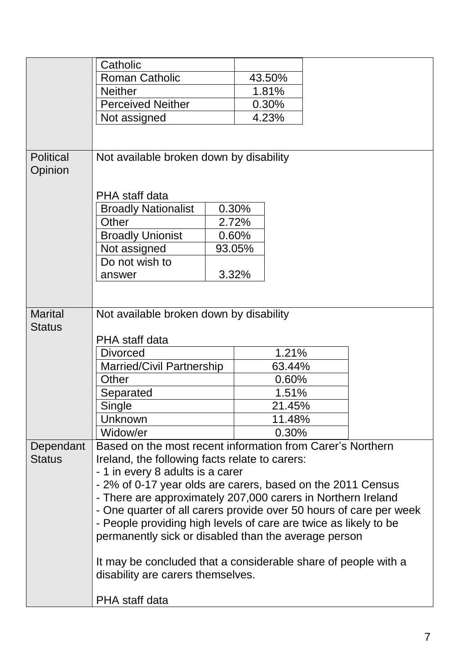|                             | Catholic                                                           |  |        |  |  |
|-----------------------------|--------------------------------------------------------------------|--|--------|--|--|
|                             | <b>Roman Catholic</b>                                              |  | 43.50% |  |  |
|                             | <b>Neither</b>                                                     |  | 1.81%  |  |  |
|                             | <b>Perceived Neither</b>                                           |  | 0.30%  |  |  |
|                             | Not assigned                                                       |  | 4.23%  |  |  |
|                             |                                                                    |  |        |  |  |
|                             |                                                                    |  |        |  |  |
| <b>Political</b><br>Opinion | Not available broken down by disability                            |  |        |  |  |
|                             |                                                                    |  |        |  |  |
|                             | PHA staff data                                                     |  |        |  |  |
|                             | <b>Broadly Nationalist</b>                                         |  | 0.30%  |  |  |
|                             | Other                                                              |  | 2.72%  |  |  |
|                             | <b>Broadly Unionist</b>                                            |  | 0.60%  |  |  |
|                             | Not assigned                                                       |  | 93.05% |  |  |
|                             | Do not wish to                                                     |  |        |  |  |
|                             | answer                                                             |  | 3.32%  |  |  |
|                             |                                                                    |  |        |  |  |
|                             |                                                                    |  |        |  |  |
| <b>Marital</b>              | Not available broken down by disability                            |  |        |  |  |
| <b>Status</b>               |                                                                    |  |        |  |  |
|                             | PHA staff data                                                     |  |        |  |  |
|                             | 1.21%<br><b>Divorced</b>                                           |  |        |  |  |
|                             | <b>Married/Civil Partnership</b><br>63.44%                         |  |        |  |  |
|                             | Other                                                              |  | 0.60%  |  |  |
|                             | Separated                                                          |  | 1.51%  |  |  |
|                             | Single                                                             |  | 21.45% |  |  |
|                             | Unknown                                                            |  | 11.48% |  |  |
|                             | Widow/er                                                           |  | 0.30%  |  |  |
| Dependant                   | Based on the most recent information from Carer's Northern         |  |        |  |  |
| <b>Status</b>               | Ireland, the following facts relate to carers:                     |  |        |  |  |
|                             | - 1 in every 8 adults is a carer                                   |  |        |  |  |
|                             | - 2% of 0-17 year olds are carers, based on the 2011 Census        |  |        |  |  |
|                             | - There are approximately 207,000 carers in Northern Ireland       |  |        |  |  |
|                             | - One quarter of all carers provide over 50 hours of care per week |  |        |  |  |
|                             | - People providing high levels of care are twice as likely to be   |  |        |  |  |
|                             | permanently sick or disabled than the average person               |  |        |  |  |
|                             |                                                                    |  |        |  |  |
|                             | It may be concluded that a considerable share of people with a     |  |        |  |  |
|                             | disability are carers themselves.                                  |  |        |  |  |
|                             | PHA staff data                                                     |  |        |  |  |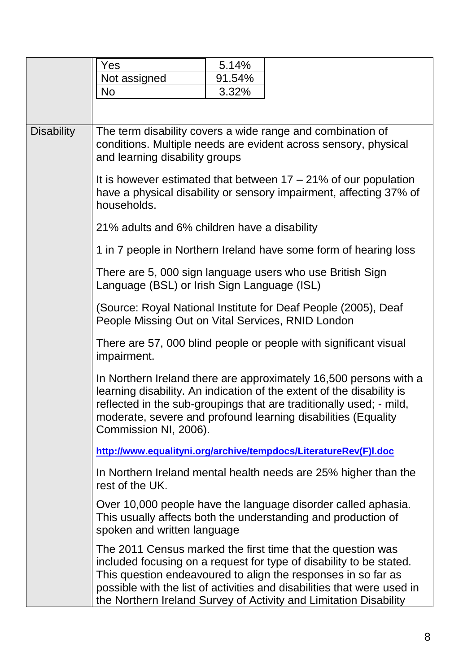|                   | Yes                                                                                                                                                                                                                                                                                                                        | 5.14%  |                                                                                                                                                                                                                                                                                                                                                     |  |  |
|-------------------|----------------------------------------------------------------------------------------------------------------------------------------------------------------------------------------------------------------------------------------------------------------------------------------------------------------------------|--------|-----------------------------------------------------------------------------------------------------------------------------------------------------------------------------------------------------------------------------------------------------------------------------------------------------------------------------------------------------|--|--|
|                   | Not assigned                                                                                                                                                                                                                                                                                                               | 91.54% |                                                                                                                                                                                                                                                                                                                                                     |  |  |
|                   | <b>No</b>                                                                                                                                                                                                                                                                                                                  | 3.32%  |                                                                                                                                                                                                                                                                                                                                                     |  |  |
|                   |                                                                                                                                                                                                                                                                                                                            |        |                                                                                                                                                                                                                                                                                                                                                     |  |  |
| <b>Disability</b> | The term disability covers a wide range and combination of<br>conditions. Multiple needs are evident across sensory, physical<br>and learning disability groups<br>It is however estimated that between $17 - 21\%$ of our population<br>have a physical disability or sensory impairment, affecting 37% of<br>households. |        |                                                                                                                                                                                                                                                                                                                                                     |  |  |
|                   |                                                                                                                                                                                                                                                                                                                            |        |                                                                                                                                                                                                                                                                                                                                                     |  |  |
|                   | 21% adults and 6% children have a disability                                                                                                                                                                                                                                                                               |        |                                                                                                                                                                                                                                                                                                                                                     |  |  |
|                   |                                                                                                                                                                                                                                                                                                                            |        | 1 in 7 people in Northern Ireland have some form of hearing loss                                                                                                                                                                                                                                                                                    |  |  |
|                   | Language (BSL) or Irish Sign Language (ISL)                                                                                                                                                                                                                                                                                |        | There are 5, 000 sign language users who use British Sign                                                                                                                                                                                                                                                                                           |  |  |
|                   | (Source: Royal National Institute for Deaf People (2005), Deaf<br>People Missing Out on Vital Services, RNID London                                                                                                                                                                                                        |        |                                                                                                                                                                                                                                                                                                                                                     |  |  |
|                   | There are 57, 000 blind people or people with significant visual<br>impairment.                                                                                                                                                                                                                                            |        |                                                                                                                                                                                                                                                                                                                                                     |  |  |
|                   | Commission NI, 2006).                                                                                                                                                                                                                                                                                                      |        | In Northern Ireland there are approximately 16,500 persons with a<br>learning disability. An indication of the extent of the disability is<br>reflected in the sub-groupings that are traditionally used; - mild,<br>moderate, severe and profound learning disabilities (Equality                                                                  |  |  |
|                   |                                                                                                                                                                                                                                                                                                                            |        | http://www.equalityni.org/archive/tempdocs/LiteratureRev(F)I.doc                                                                                                                                                                                                                                                                                    |  |  |
|                   | rest of the UK.                                                                                                                                                                                                                                                                                                            |        | In Northern Ireland mental health needs are 25% higher than the                                                                                                                                                                                                                                                                                     |  |  |
|                   | spoken and written language                                                                                                                                                                                                                                                                                                |        | Over 10,000 people have the language disorder called aphasia.<br>This usually affects both the understanding and production of                                                                                                                                                                                                                      |  |  |
|                   |                                                                                                                                                                                                                                                                                                                            |        | The 2011 Census marked the first time that the question was<br>included focusing on a request for type of disability to be stated.<br>This question endeavoured to align the responses in so far as<br>possible with the list of activities and disabilities that were used in<br>the Northern Ireland Survey of Activity and Limitation Disability |  |  |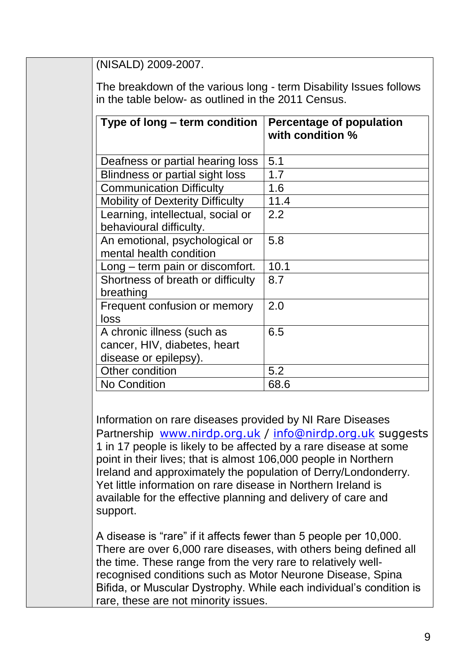(NISALD) 2009-2007.

The breakdown of the various long - term Disability Issues follows in the table below- as outlined in the 2011 Census.

| Type of long – term condition                                                       | Percentage of population<br>with condition % |
|-------------------------------------------------------------------------------------|----------------------------------------------|
| Deafness or partial hearing loss                                                    | 5.1                                          |
| <b>Blindness or partial sight loss</b>                                              | 1.7                                          |
| <b>Communication Difficulty</b>                                                     | 1.6                                          |
| <b>Mobility of Dexterity Difficulty</b>                                             | 11.4                                         |
| Learning, intellectual, social or<br>behavioural difficulty.                        | 2.2                                          |
| An emotional, psychological or<br>mental health condition                           | 5.8                                          |
| Long – term pain or discomfort.                                                     | 10.1                                         |
| Shortness of breath or difficulty<br>breathing                                      | 8.7                                          |
| Frequent confusion or memory<br>loss                                                | 2.0                                          |
| A chronic illness (such as<br>cancer, HIV, diabetes, heart<br>disease or epilepsy). | 6.5                                          |
| <b>Other condition</b>                                                              | 5.2                                          |
| <b>No Condition</b>                                                                 | 68.6                                         |

Information on rare diseases provided by NI Rare Diseases Partnership [www.nirdp.org.uk](http://www.nirdp.org.uk/) / [info@nirdp.org.uk](mailto:info@nirdp.org.uk) suggests 1 in 17 people is likely to be affected by a rare disease at some point in their lives; that is almost 106,000 people in Northern Ireland and approximately the population of Derry/Londonderry. Yet little information on rare disease in Northern Ireland is available for the effective planning and delivery of care and support.

A disease is "rare" if it affects fewer than 5 people per 10,000. There are over 6,000 rare diseases, with others being defined all the time. These range from the very rare to relatively wellrecognised conditions such as Motor Neurone Disease, Spina Bifida, or Muscular Dystrophy. While each individual's condition is rare, these are not minority issues.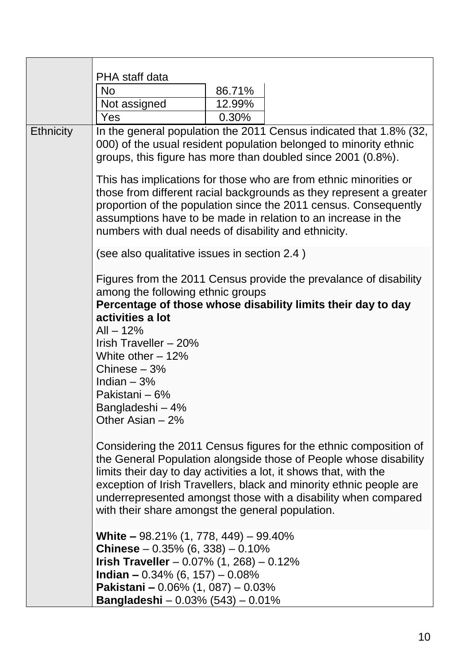|                  | PHA staff data<br><b>No</b>                                                                                                                                                                                                                                                                                                           | 86.71% |                                                                                                                                                                                                                                                                                                                                                      |  |
|------------------|---------------------------------------------------------------------------------------------------------------------------------------------------------------------------------------------------------------------------------------------------------------------------------------------------------------------------------------|--------|------------------------------------------------------------------------------------------------------------------------------------------------------------------------------------------------------------------------------------------------------------------------------------------------------------------------------------------------------|--|
|                  | Not assigned                                                                                                                                                                                                                                                                                                                          | 12.99% |                                                                                                                                                                                                                                                                                                                                                      |  |
|                  | Yes                                                                                                                                                                                                                                                                                                                                   | 0.30%  |                                                                                                                                                                                                                                                                                                                                                      |  |
| <b>Ethnicity</b> |                                                                                                                                                                                                                                                                                                                                       |        | In the general population the 2011 Census indicated that 1.8% (32,<br>000) of the usual resident population belonged to minority ethnic<br>groups, this figure has more than doubled since 2001 (0.8%).                                                                                                                                              |  |
|                  | This has implications for those who are from ethnic minorities or<br>those from different racial backgrounds as they represent a greater<br>proportion of the population since the 2011 census. Consequently<br>assumptions have to be made in relation to an increase in the<br>numbers with dual needs of disability and ethnicity. |        |                                                                                                                                                                                                                                                                                                                                                      |  |
|                  | (see also qualitative issues in section 2.4)                                                                                                                                                                                                                                                                                          |        |                                                                                                                                                                                                                                                                                                                                                      |  |
|                  | among the following ethnic groups<br>activities a lot<br>$All - 12%$<br>Irish Traveller - 20%                                                                                                                                                                                                                                         |        | Figures from the 2011 Census provide the prevalance of disability<br>Percentage of those whose disability limits their day to day                                                                                                                                                                                                                    |  |
|                  | White other $-12%$<br>Chinese $-3%$<br>Indian $-3%$<br>Pakistani – 6%<br>Bangladeshi – 4%<br>Other Asian - 2%                                                                                                                                                                                                                         |        |                                                                                                                                                                                                                                                                                                                                                      |  |
|                  | with their share amongst the general population.                                                                                                                                                                                                                                                                                      |        | Considering the 2011 Census figures for the ethnic composition of<br>the General Population alongside those of People whose disability<br>limits their day to day activities a lot, it shows that, with the<br>exception of Irish Travellers, black and minority ethnic people are<br>underrepresented amongst those with a disability when compared |  |
|                  | <b>White – <math>98.21\%</math> (1, 778, 449) – 99.40%</b><br><b>Chinese</b> $- 0.35\%$ (6, 338) $- 0.10\%$<br><b>Irish Traveller</b> $-0.07\%$ (1, 268) $-0.12\%$<br>Indian - $0.34\%$ (6, 157) - $0.08\%$<br><b>Pakistani - 0.06% (1, 087) - 0.03%</b><br><b>Bangladeshi</b> - $0.03\%$ (543) - $0.01\%$                            |        |                                                                                                                                                                                                                                                                                                                                                      |  |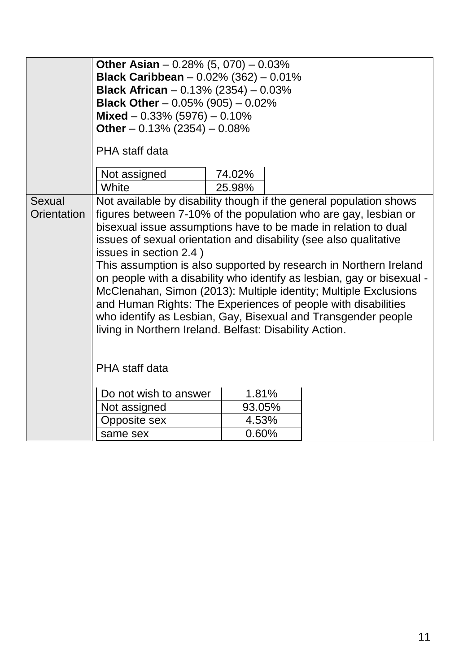|             | Other Asian $-0.28\%$ (5, 070) $-0.03\%$                           |        |                                                                        |  |  |
|-------------|--------------------------------------------------------------------|--------|------------------------------------------------------------------------|--|--|
|             | <b>Black Caribbean</b> $-0.02\%$ (362) $-0.01\%$                   |        |                                                                        |  |  |
|             | <b>Black African</b> - $0.13\%$ (2354) - $0.03\%$                  |        |                                                                        |  |  |
|             | <b>Black Other</b> - $0.05\%$ (905) - $0.02\%$                     |        |                                                                        |  |  |
|             | Mixed $-0.33\%$ (5976) $-0.10\%$                                   |        |                                                                        |  |  |
|             | Other $-0.13\%$ (2354) $-0.08\%$                                   |        |                                                                        |  |  |
|             | PHA staff data                                                     |        |                                                                        |  |  |
|             | Not assigned                                                       | 74.02% |                                                                        |  |  |
|             | White                                                              | 25.98% |                                                                        |  |  |
| Sexual      | Not available by disability though if the general population shows |        |                                                                        |  |  |
| Orientation | figures between 7-10% of the population who are gay, lesbian or    |        |                                                                        |  |  |
|             | bisexual issue assumptions have to be made in relation to dual     |        |                                                                        |  |  |
|             | issues of sexual orientation and disability (see also qualitative  |        |                                                                        |  |  |
|             | issues in section 2.4)                                             |        |                                                                        |  |  |
|             | This assumption is also supported by research in Northern Ireland  |        |                                                                        |  |  |
|             |                                                                    |        | on people with a disability who identify as lesbian, gay or bisexual - |  |  |
|             | McClenahan, Simon (2013): Multiple identity; Multiple Exclusions   |        |                                                                        |  |  |
|             | and Human Rights: The Experiences of people with disabilities      |        |                                                                        |  |  |
|             | who identify as Lesbian, Gay, Bisexual and Transgender people      |        |                                                                        |  |  |
|             | living in Northern Ireland. Belfast: Disability Action.            |        |                                                                        |  |  |
|             |                                                                    |        |                                                                        |  |  |
|             |                                                                    |        |                                                                        |  |  |
|             | PHA staff data                                                     |        |                                                                        |  |  |
|             |                                                                    |        |                                                                        |  |  |
|             | Do not wish to answer                                              | 1.81%  |                                                                        |  |  |
|             | Not assigned                                                       | 93.05% |                                                                        |  |  |
|             | <b>Opposite sex</b>                                                | 4.53%  |                                                                        |  |  |
|             | same sex                                                           | 0.60%  |                                                                        |  |  |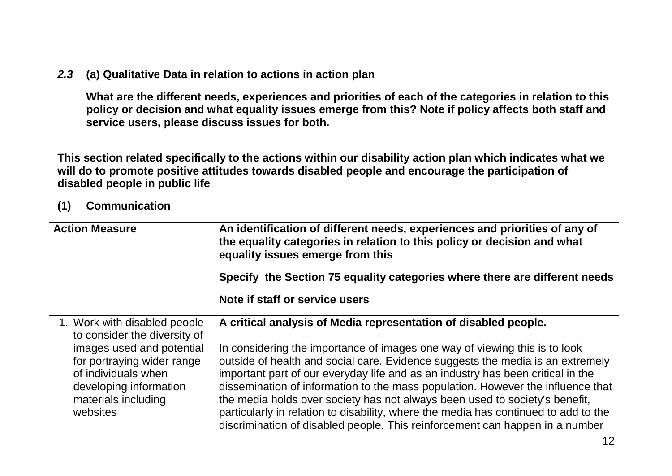#### *2.3* **(a) Qualitative Data in relation to actions in action plan**

**What are the different needs, experiences and priorities of each of the categories in relation to this policy or decision and what equality issues emerge from this? Note if policy affects both staff and service users, please discuss issues for both.**

**This section related specifically to the actions within our disability action plan which indicates what we will do to promote positive attitudes towards disabled people and encourage the participation of disabled people in public life**

### **(1) Communication**

| <b>Action Measure</b>                                                                                                                                                                                       | An identification of different needs, experiences and priorities of any of<br>the equality categories in relation to this policy or decision and what<br>equality issues emerge from this                                                                                                                                                                                                                                                                                                                                                                                                                                                                   |  |  |
|-------------------------------------------------------------------------------------------------------------------------------------------------------------------------------------------------------------|-------------------------------------------------------------------------------------------------------------------------------------------------------------------------------------------------------------------------------------------------------------------------------------------------------------------------------------------------------------------------------------------------------------------------------------------------------------------------------------------------------------------------------------------------------------------------------------------------------------------------------------------------------------|--|--|
|                                                                                                                                                                                                             | Specify the Section 75 equality categories where there are different needs                                                                                                                                                                                                                                                                                                                                                                                                                                                                                                                                                                                  |  |  |
|                                                                                                                                                                                                             | Note if staff or service users                                                                                                                                                                                                                                                                                                                                                                                                                                                                                                                                                                                                                              |  |  |
| 1. Work with disabled people<br>to consider the diversity of<br>images used and potential<br>for portraying wider range<br>of individuals when<br>developing information<br>materials including<br>websites | A critical analysis of Media representation of disabled people.<br>In considering the importance of images one way of viewing this is to look<br>outside of health and social care. Evidence suggests the media is an extremely<br>important part of our everyday life and as an industry has been critical in the<br>dissemination of information to the mass population. However the influence that<br>the media holds over society has not always been used to society's benefit,<br>particularly in relation to disability, where the media has continued to add to the<br>discrimination of disabled people. This reinforcement can happen in a number |  |  |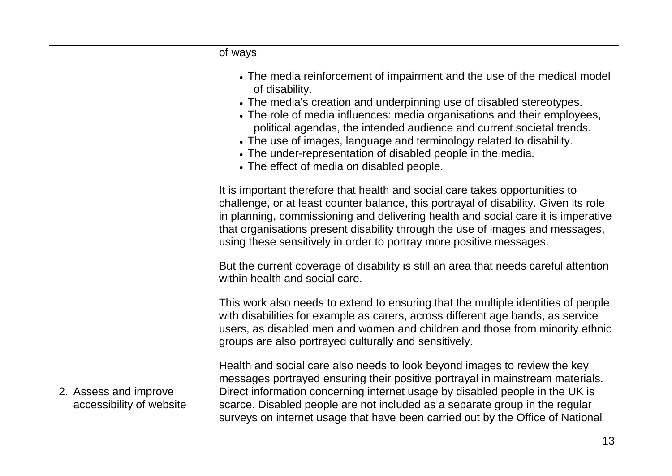|                          | of ways                                                                                                                                                                                                                                                                                                                                                                                                                                                                                                     |
|--------------------------|-------------------------------------------------------------------------------------------------------------------------------------------------------------------------------------------------------------------------------------------------------------------------------------------------------------------------------------------------------------------------------------------------------------------------------------------------------------------------------------------------------------|
|                          | • The media reinforcement of impairment and the use of the medical model<br>of disability.<br>• The media's creation and underpinning use of disabled stereotypes.<br>• The role of media influences: media organisations and their employees,<br>political agendas, the intended audience and current societal trends.<br>• The use of images, language and terminology related to disability.<br>• The under-representation of disabled people in the media.<br>• The effect of media on disabled people. |
|                          | It is important therefore that health and social care takes opportunities to<br>challenge, or at least counter balance, this portrayal of disability. Given its role<br>in planning, commissioning and delivering health and social care it is imperative<br>that organisations present disability through the use of images and messages,<br>using these sensitively in order to portray more positive messages.                                                                                           |
|                          | But the current coverage of disability is still an area that needs careful attention<br>within health and social care.                                                                                                                                                                                                                                                                                                                                                                                      |
|                          | This work also needs to extend to ensuring that the multiple identities of people<br>with disabilities for example as carers, across different age bands, as service<br>users, as disabled men and women and children and those from minority ethnic<br>groups are also portrayed culturally and sensitively.                                                                                                                                                                                               |
|                          | Health and social care also needs to look beyond images to review the key<br>messages portrayed ensuring their positive portrayal in mainstream materials.                                                                                                                                                                                                                                                                                                                                                  |
| 2. Assess and improve    | Direct information concerning internet usage by disabled people in the UK is                                                                                                                                                                                                                                                                                                                                                                                                                                |
| accessibility of website | scarce. Disabled people are not included as a separate group in the regular<br>surveys on internet usage that have been carried out by the Office of National                                                                                                                                                                                                                                                                                                                                               |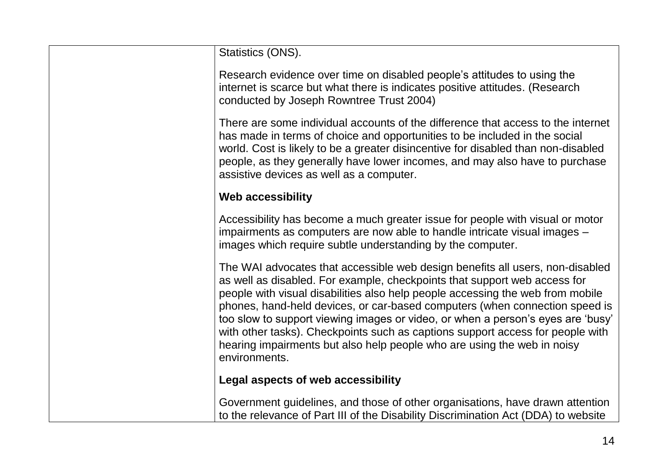| Statistics (ONS).                                                                                                                                                                                                                                                                                                                                                                                                                                                                                                                                                                            |
|----------------------------------------------------------------------------------------------------------------------------------------------------------------------------------------------------------------------------------------------------------------------------------------------------------------------------------------------------------------------------------------------------------------------------------------------------------------------------------------------------------------------------------------------------------------------------------------------|
| Research evidence over time on disabled people's attitudes to using the<br>internet is scarce but what there is indicates positive attitudes. (Research<br>conducted by Joseph Rowntree Trust 2004)                                                                                                                                                                                                                                                                                                                                                                                          |
| There are some individual accounts of the difference that access to the internet<br>has made in terms of choice and opportunities to be included in the social<br>world. Cost is likely to be a greater disincentive for disabled than non-disabled<br>people, as they generally have lower incomes, and may also have to purchase<br>assistive devices as well as a computer.                                                                                                                                                                                                               |
| <b>Web accessibility</b>                                                                                                                                                                                                                                                                                                                                                                                                                                                                                                                                                                     |
| Accessibility has become a much greater issue for people with visual or motor<br>impairments as computers are now able to handle intricate visual images -<br>images which require subtle understanding by the computer.                                                                                                                                                                                                                                                                                                                                                                     |
| The WAI advocates that accessible web design benefits all users, non-disabled<br>as well as disabled. For example, checkpoints that support web access for<br>people with visual disabilities also help people accessing the web from mobile<br>phones, hand-held devices, or car-based computers (when connection speed is<br>too slow to support viewing images or video, or when a person's eyes are 'busy'<br>with other tasks). Checkpoints such as captions support access for people with<br>hearing impairments but also help people who are using the web in noisy<br>environments. |
| Legal aspects of web accessibility                                                                                                                                                                                                                                                                                                                                                                                                                                                                                                                                                           |
| Government guidelines, and those of other organisations, have drawn attention<br>to the relevance of Part III of the Disability Discrimination Act (DDA) to website                                                                                                                                                                                                                                                                                                                                                                                                                          |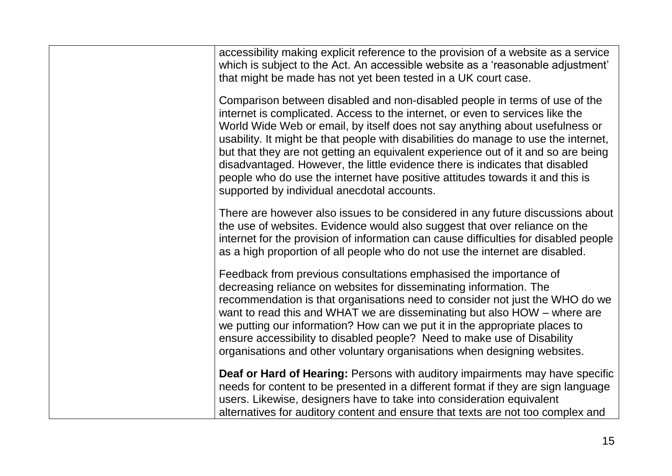| accessibility making explicit reference to the provision of a website as a service<br>which is subject to the Act. An accessible website as a 'reasonable adjustment'<br>that might be made has not yet been tested in a UK court case.                                                                                                                                                                                                                                                                                                                                                                                                 |
|-----------------------------------------------------------------------------------------------------------------------------------------------------------------------------------------------------------------------------------------------------------------------------------------------------------------------------------------------------------------------------------------------------------------------------------------------------------------------------------------------------------------------------------------------------------------------------------------------------------------------------------------|
| Comparison between disabled and non-disabled people in terms of use of the<br>internet is complicated. Access to the internet, or even to services like the<br>World Wide Web or email, by itself does not say anything about usefulness or<br>usability. It might be that people with disabilities do manage to use the internet,<br>but that they are not getting an equivalent experience out of it and so are being<br>disadvantaged. However, the little evidence there is indicates that disabled<br>people who do use the internet have positive attitudes towards it and this is<br>supported by individual anecdotal accounts. |
| There are however also issues to be considered in any future discussions about<br>the use of websites. Evidence would also suggest that over reliance on the<br>internet for the provision of information can cause difficulties for disabled people<br>as a high proportion of all people who do not use the internet are disabled.                                                                                                                                                                                                                                                                                                    |
| Feedback from previous consultations emphasised the importance of<br>decreasing reliance on websites for disseminating information. The<br>recommendation is that organisations need to consider not just the WHO do we<br>want to read this and WHAT we are disseminating but also HOW – where are<br>we putting our information? How can we put it in the appropriate places to<br>ensure accessibility to disabled people? Need to make use of Disability<br>organisations and other voluntary organisations when designing websites.                                                                                                |
| Deaf or Hard of Hearing: Persons with auditory impairments may have specific<br>needs for content to be presented in a different format if they are sign language<br>users. Likewise, designers have to take into consideration equivalent<br>alternatives for auditory content and ensure that texts are not too complex and                                                                                                                                                                                                                                                                                                           |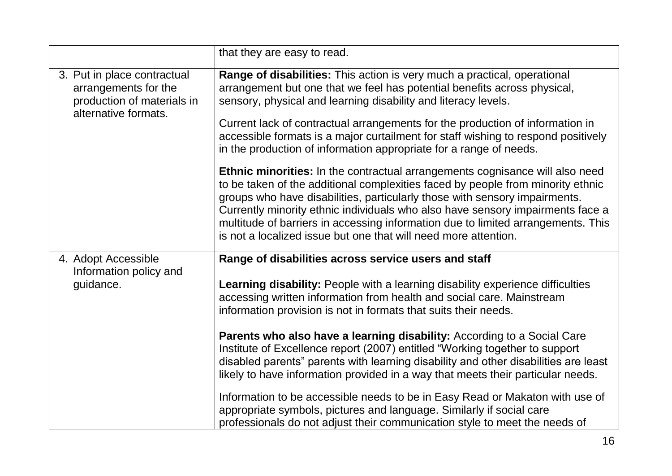|                                                                                                           | that they are easy to read.                                                                                                                                                                                                                                                                                                                                                                                                                                                                   |
|-----------------------------------------------------------------------------------------------------------|-----------------------------------------------------------------------------------------------------------------------------------------------------------------------------------------------------------------------------------------------------------------------------------------------------------------------------------------------------------------------------------------------------------------------------------------------------------------------------------------------|
| 3. Put in place contractual<br>arrangements for the<br>production of materials in<br>alternative formats. | Range of disabilities: This action is very much a practical, operational<br>arrangement but one that we feel has potential benefits across physical,<br>sensory, physical and learning disability and literacy levels.                                                                                                                                                                                                                                                                        |
|                                                                                                           | Current lack of contractual arrangements for the production of information in<br>accessible formats is a major curtailment for staff wishing to respond positively<br>in the production of information appropriate for a range of needs.                                                                                                                                                                                                                                                      |
|                                                                                                           | <b>Ethnic minorities:</b> In the contractual arrangements cognisance will also need<br>to be taken of the additional complexities faced by people from minority ethnic<br>groups who have disabilities, particularly those with sensory impairments.<br>Currently minority ethnic individuals who also have sensory impairments face a<br>multitude of barriers in accessing information due to limited arrangements. This<br>is not a localized issue but one that will need more attention. |
| 4. Adopt Accessible<br>Information policy and                                                             | Range of disabilities across service users and staff                                                                                                                                                                                                                                                                                                                                                                                                                                          |
| guidance.                                                                                                 | Learning disability: People with a learning disability experience difficulties<br>accessing written information from health and social care. Mainstream<br>information provision is not in formats that suits their needs.                                                                                                                                                                                                                                                                    |
|                                                                                                           | Parents who also have a learning disability: According to a Social Care<br>Institute of Excellence report (2007) entitled "Working together to support<br>disabled parents" parents with learning disability and other disabilities are least<br>likely to have information provided in a way that meets their particular needs.                                                                                                                                                              |
|                                                                                                           | Information to be accessible needs to be in Easy Read or Makaton with use of<br>appropriate symbols, pictures and language. Similarly if social care<br>professionals do not adjust their communication style to meet the needs of                                                                                                                                                                                                                                                            |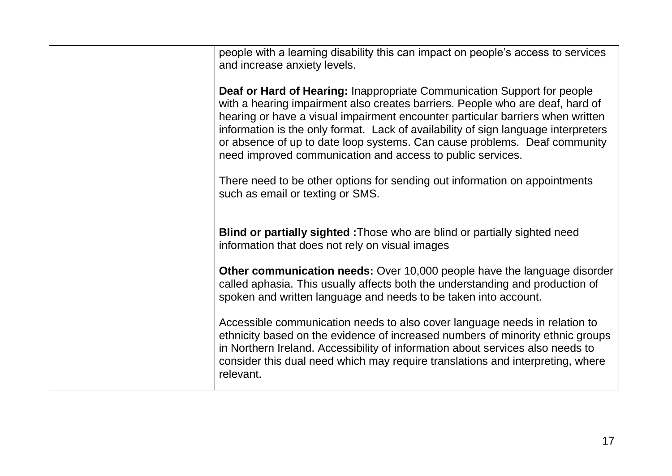| people with a learning disability this can impact on people's access to services<br>and increase anxiety levels.                                                                                                                                                                                                                                                                                                                                                                   |
|------------------------------------------------------------------------------------------------------------------------------------------------------------------------------------------------------------------------------------------------------------------------------------------------------------------------------------------------------------------------------------------------------------------------------------------------------------------------------------|
| <b>Deaf or Hard of Hearing: Inappropriate Communication Support for people</b><br>with a hearing impairment also creates barriers. People who are deaf, hard of<br>hearing or have a visual impairment encounter particular barriers when written<br>information is the only format. Lack of availability of sign language interpreters<br>or absence of up to date loop systems. Can cause problems. Deaf community<br>need improved communication and access to public services. |
| There need to be other options for sending out information on appointments<br>such as email or texting or SMS.                                                                                                                                                                                                                                                                                                                                                                     |
| <b>Blind or partially sighted : Those who are blind or partially sighted need</b><br>information that does not rely on visual images                                                                                                                                                                                                                                                                                                                                               |
| Other communication needs: Over 10,000 people have the language disorder<br>called aphasia. This usually affects both the understanding and production of<br>spoken and written language and needs to be taken into account.                                                                                                                                                                                                                                                       |
| Accessible communication needs to also cover language needs in relation to<br>ethnicity based on the evidence of increased numbers of minority ethnic groups<br>in Northern Ireland. Accessibility of information about services also needs to<br>consider this dual need which may require translations and interpreting, where<br>relevant.                                                                                                                                      |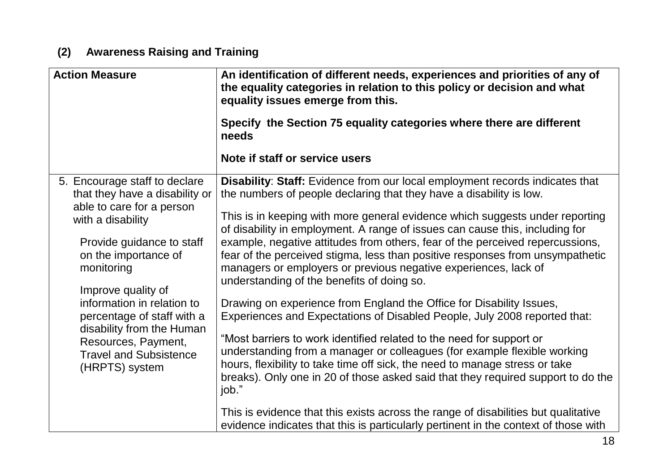# **(2) Awareness Raising and Training**

| <b>Action Measure</b>                                                                                                                                                                                                                                                                                                                                                         | An identification of different needs, experiences and priorities of any of<br>the equality categories in relation to this policy or decision and what<br>equality issues emerge from this.<br>Specify the Section 75 equality categories where there are different<br>needs                                                                                                                                                                                                                                                                                                                                                                                                                                                                                                                                                                                                                                                                                                                                                                                                                                                                                                              |
|-------------------------------------------------------------------------------------------------------------------------------------------------------------------------------------------------------------------------------------------------------------------------------------------------------------------------------------------------------------------------------|------------------------------------------------------------------------------------------------------------------------------------------------------------------------------------------------------------------------------------------------------------------------------------------------------------------------------------------------------------------------------------------------------------------------------------------------------------------------------------------------------------------------------------------------------------------------------------------------------------------------------------------------------------------------------------------------------------------------------------------------------------------------------------------------------------------------------------------------------------------------------------------------------------------------------------------------------------------------------------------------------------------------------------------------------------------------------------------------------------------------------------------------------------------------------------------|
|                                                                                                                                                                                                                                                                                                                                                                               | Note if staff or service users                                                                                                                                                                                                                                                                                                                                                                                                                                                                                                                                                                                                                                                                                                                                                                                                                                                                                                                                                                                                                                                                                                                                                           |
| 5. Encourage staff to declare<br>that they have a disability or<br>able to care for a person<br>with a disability<br>Provide guidance to staff<br>on the importance of<br>monitoring<br>Improve quality of<br>information in relation to<br>percentage of staff with a<br>disability from the Human<br>Resources, Payment,<br><b>Travel and Subsistence</b><br>(HRPTS) system | <b>Disability: Staff:</b> Evidence from our local employment records indicates that<br>the numbers of people declaring that they have a disability is low.<br>This is in keeping with more general evidence which suggests under reporting<br>of disability in employment. A range of issues can cause this, including for<br>example, negative attitudes from others, fear of the perceived repercussions,<br>fear of the perceived stigma, less than positive responses from unsympathetic<br>managers or employers or previous negative experiences, lack of<br>understanding of the benefits of doing so.<br>Drawing on experience from England the Office for Disability Issues,<br>Experiences and Expectations of Disabled People, July 2008 reported that:<br>"Most barriers to work identified related to the need for support or<br>understanding from a manager or colleagues (for example flexible working<br>hours, flexibility to take time off sick, the need to manage stress or take<br>breaks). Only one in 20 of those asked said that they required support to do the<br>job."<br>This is evidence that this exists across the range of disabilities but qualitative |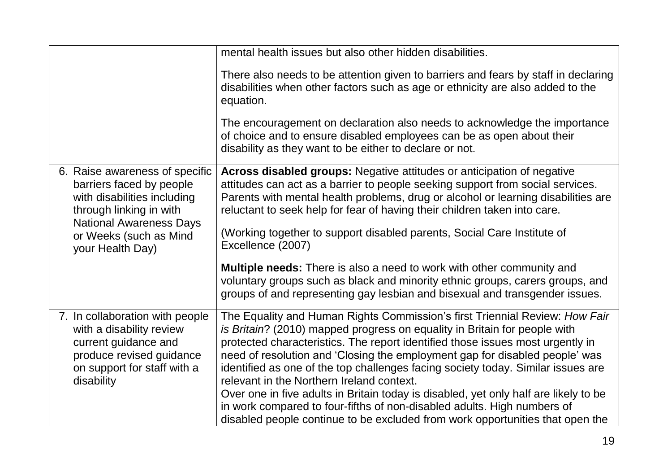|                                                                                                                                                              | mental health issues but also other hidden disabilities.                                                                                                                                                                                                                                                                                                                                                                                                                                                                                           |
|--------------------------------------------------------------------------------------------------------------------------------------------------------------|----------------------------------------------------------------------------------------------------------------------------------------------------------------------------------------------------------------------------------------------------------------------------------------------------------------------------------------------------------------------------------------------------------------------------------------------------------------------------------------------------------------------------------------------------|
|                                                                                                                                                              | There also needs to be attention given to barriers and fears by staff in declaring<br>disabilities when other factors such as age or ethnicity are also added to the<br>equation.                                                                                                                                                                                                                                                                                                                                                                  |
|                                                                                                                                                              | The encouragement on declaration also needs to acknowledge the importance<br>of choice and to ensure disabled employees can be as open about their<br>disability as they want to be either to declare or not.                                                                                                                                                                                                                                                                                                                                      |
| 6. Raise awareness of specific<br>barriers faced by people<br>with disabilities including<br>through linking in with                                         | <b>Across disabled groups:</b> Negative attitudes or anticipation of negative<br>attitudes can act as a barrier to people seeking support from social services.<br>Parents with mental health problems, drug or alcohol or learning disabilities are<br>reluctant to seek help for fear of having their children taken into care.                                                                                                                                                                                                                  |
| <b>National Awareness Days</b><br>or Weeks (such as Mind<br>your Health Day)                                                                                 | (Working together to support disabled parents, Social Care Institute of<br>Excellence (2007)                                                                                                                                                                                                                                                                                                                                                                                                                                                       |
|                                                                                                                                                              | <b>Multiple needs:</b> There is also a need to work with other community and<br>voluntary groups such as black and minority ethnic groups, carers groups, and<br>groups of and representing gay lesbian and bisexual and transgender issues.                                                                                                                                                                                                                                                                                                       |
| 7. In collaboration with people<br>with a disability review<br>current guidance and<br>produce revised guidance<br>on support for staff with a<br>disability | The Equality and Human Rights Commission's first Triennial Review: How Fair<br>is Britain? (2010) mapped progress on equality in Britain for people with<br>protected characteristics. The report identified those issues most urgently in<br>need of resolution and 'Closing the employment gap for disabled people' was<br>identified as one of the top challenges facing society today. Similar issues are<br>relevant in the Northern Ireland context.<br>Over one in five adults in Britain today is disabled, yet only half are likely to be |
|                                                                                                                                                              | in work compared to four-fifths of non-disabled adults. High numbers of<br>disabled people continue to be excluded from work opportunities that open the                                                                                                                                                                                                                                                                                                                                                                                           |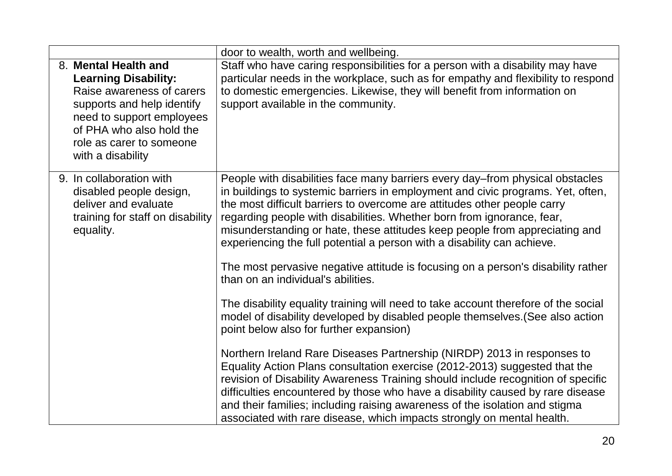|                                                                                                                                                                                                                          | door to wealth, worth and wellbeing.                                                                                                                                                                                                                                                                                                                                                                                                                                                                                                                                                                                                                                                                                                                                                                                                                                                                                                                                                                                                                                                                                                                                                                                                                                                                                 |
|--------------------------------------------------------------------------------------------------------------------------------------------------------------------------------------------------------------------------|----------------------------------------------------------------------------------------------------------------------------------------------------------------------------------------------------------------------------------------------------------------------------------------------------------------------------------------------------------------------------------------------------------------------------------------------------------------------------------------------------------------------------------------------------------------------------------------------------------------------------------------------------------------------------------------------------------------------------------------------------------------------------------------------------------------------------------------------------------------------------------------------------------------------------------------------------------------------------------------------------------------------------------------------------------------------------------------------------------------------------------------------------------------------------------------------------------------------------------------------------------------------------------------------------------------------|
| 8. Mental Health and<br><b>Learning Disability:</b><br>Raise awareness of carers<br>supports and help identify<br>need to support employees<br>of PHA who also hold the<br>role as carer to someone<br>with a disability | Staff who have caring responsibilities for a person with a disability may have<br>particular needs in the workplace, such as for empathy and flexibility to respond<br>to domestic emergencies. Likewise, they will benefit from information on<br>support available in the community.                                                                                                                                                                                                                                                                                                                                                                                                                                                                                                                                                                                                                                                                                                                                                                                                                                                                                                                                                                                                                               |
| 9. In collaboration with<br>disabled people design,<br>deliver and evaluate<br>training for staff on disability<br>equality.                                                                                             | People with disabilities face many barriers every day–from physical obstacles<br>in buildings to systemic barriers in employment and civic programs. Yet, often,<br>the most difficult barriers to overcome are attitudes other people carry<br>regarding people with disabilities. Whether born from ignorance, fear,<br>misunderstanding or hate, these attitudes keep people from appreciating and<br>experiencing the full potential a person with a disability can achieve.<br>The most pervasive negative attitude is focusing on a person's disability rather<br>than on an individual's abilities.<br>The disability equality training will need to take account therefore of the social<br>model of disability developed by disabled people themselves. (See also action<br>point below also for further expansion)<br>Northern Ireland Rare Diseases Partnership (NIRDP) 2013 in responses to<br>Equality Action Plans consultation exercise (2012-2013) suggested that the<br>revision of Disability Awareness Training should include recognition of specific<br>difficulties encountered by those who have a disability caused by rare disease<br>and their families; including raising awareness of the isolation and stigma<br>associated with rare disease, which impacts strongly on mental health. |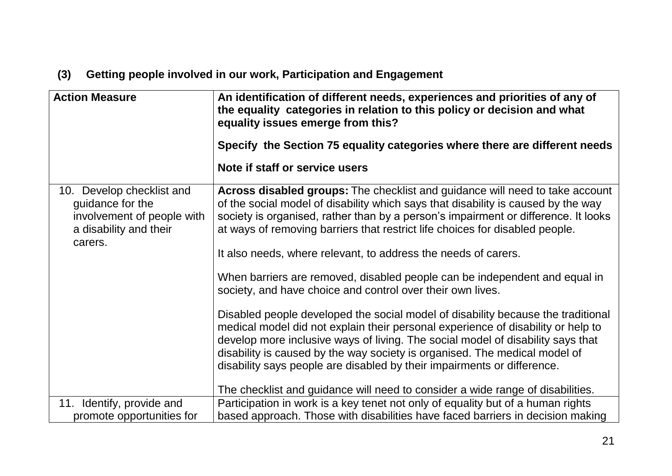# **(3) Getting people involved in our work, Participation and Engagement**

| <b>Action Measure</b>                                                                                 | An identification of different needs, experiences and priorities of any of<br>the equality categories in relation to this policy or decision and what<br>equality issues emerge from this?<br>Specify the Section 75 equality categories where there are different needs                                                                                                                                         |
|-------------------------------------------------------------------------------------------------------|------------------------------------------------------------------------------------------------------------------------------------------------------------------------------------------------------------------------------------------------------------------------------------------------------------------------------------------------------------------------------------------------------------------|
|                                                                                                       |                                                                                                                                                                                                                                                                                                                                                                                                                  |
|                                                                                                       | Note if staff or service users                                                                                                                                                                                                                                                                                                                                                                                   |
| 10. Develop checklist and<br>guidance for the<br>involvement of people with<br>a disability and their | Across disabled groups: The checklist and guidance will need to take account<br>of the social model of disability which says that disability is caused by the way<br>society is organised, rather than by a person's impairment or difference. It looks<br>at ways of removing barriers that restrict life choices for disabled people.                                                                          |
| carers.                                                                                               | It also needs, where relevant, to address the needs of carers.                                                                                                                                                                                                                                                                                                                                                   |
|                                                                                                       | When barriers are removed, disabled people can be independent and equal in<br>society, and have choice and control over their own lives.                                                                                                                                                                                                                                                                         |
|                                                                                                       | Disabled people developed the social model of disability because the traditional<br>medical model did not explain their personal experience of disability or help to<br>develop more inclusive ways of living. The social model of disability says that<br>disability is caused by the way society is organised. The medical model of<br>disability says people are disabled by their impairments or difference. |
|                                                                                                       | The checklist and guidance will need to consider a wide range of disabilities.                                                                                                                                                                                                                                                                                                                                   |
| 11. Identify, provide and                                                                             | Participation in work is a key tenet not only of equality but of a human rights                                                                                                                                                                                                                                                                                                                                  |
| promote opportunities for                                                                             | based approach. Those with disabilities have faced barriers in decision making                                                                                                                                                                                                                                                                                                                                   |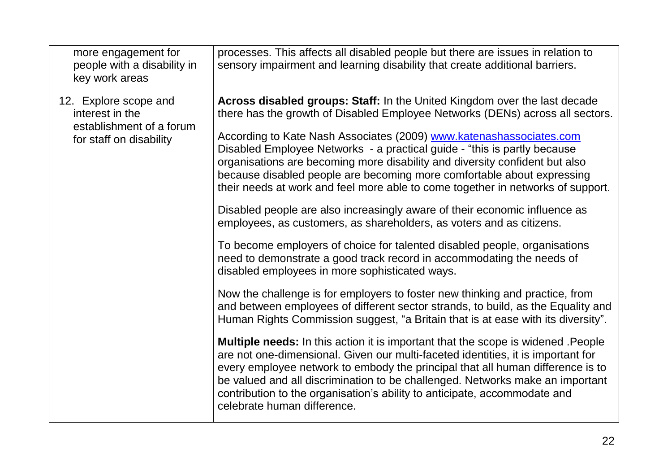| more engagement for<br>people with a disability in<br>key work areas                            | processes. This affects all disabled people but there are issues in relation to<br>sensory impairment and learning disability that create additional barriers.                                                                                                                                                                                                                                                                                                                                                                                                                                                                                                                                                                                                                                                                                                                                                                                                                                                                                                                                                                                                                                                                                                                                                                                                                                                                                                                                                                                                                                                                                 |
|-------------------------------------------------------------------------------------------------|------------------------------------------------------------------------------------------------------------------------------------------------------------------------------------------------------------------------------------------------------------------------------------------------------------------------------------------------------------------------------------------------------------------------------------------------------------------------------------------------------------------------------------------------------------------------------------------------------------------------------------------------------------------------------------------------------------------------------------------------------------------------------------------------------------------------------------------------------------------------------------------------------------------------------------------------------------------------------------------------------------------------------------------------------------------------------------------------------------------------------------------------------------------------------------------------------------------------------------------------------------------------------------------------------------------------------------------------------------------------------------------------------------------------------------------------------------------------------------------------------------------------------------------------------------------------------------------------------------------------------------------------|
| 12. Explore scope and<br>interest in the<br>establishment of a forum<br>for staff on disability | Across disabled groups: Staff: In the United Kingdom over the last decade<br>there has the growth of Disabled Employee Networks (DENs) across all sectors.<br>According to Kate Nash Associates (2009) www.katenashassociates.com<br>Disabled Employee Networks - a practical guide - "this is partly because<br>organisations are becoming more disability and diversity confident but also<br>because disabled people are becoming more comfortable about expressing<br>their needs at work and feel more able to come together in networks of support.<br>Disabled people are also increasingly aware of their economic influence as<br>employees, as customers, as shareholders, as voters and as citizens.<br>To become employers of choice for talented disabled people, organisations<br>need to demonstrate a good track record in accommodating the needs of<br>disabled employees in more sophisticated ways.<br>Now the challenge is for employers to foster new thinking and practice, from<br>and between employees of different sector strands, to build, as the Equality and<br>Human Rights Commission suggest, "a Britain that is at ease with its diversity".<br><b>Multiple needs:</b> In this action it is important that the scope is widened . People<br>are not one-dimensional. Given our multi-faceted identities, it is important for<br>every employee network to embody the principal that all human difference is to<br>be valued and all discrimination to be challenged. Networks make an important<br>contribution to the organisation's ability to anticipate, accommodate and<br>celebrate human difference. |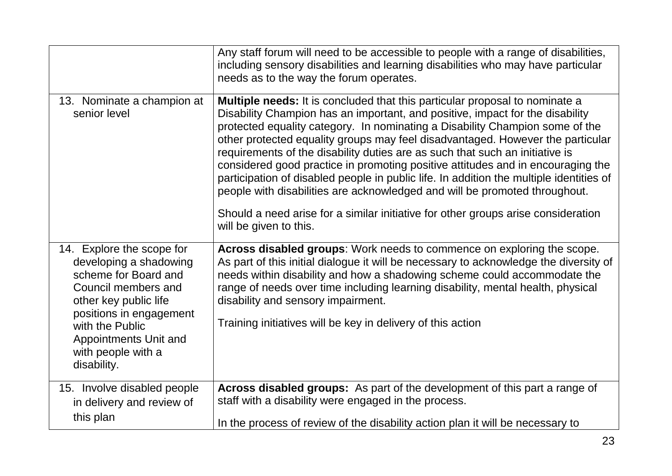|                                                                                                                                                                                                                                         | Any staff forum will need to be accessible to people with a range of disabilities,<br>including sensory disabilities and learning disabilities who may have particular<br>needs as to the way the forum operates.                                                                                                                                                                                                                                                                                                                                                                                                                                                                 |
|-----------------------------------------------------------------------------------------------------------------------------------------------------------------------------------------------------------------------------------------|-----------------------------------------------------------------------------------------------------------------------------------------------------------------------------------------------------------------------------------------------------------------------------------------------------------------------------------------------------------------------------------------------------------------------------------------------------------------------------------------------------------------------------------------------------------------------------------------------------------------------------------------------------------------------------------|
| 13. Nominate a champion at<br>senior level                                                                                                                                                                                              | <b>Multiple needs:</b> It is concluded that this particular proposal to nominate a<br>Disability Champion has an important, and positive, impact for the disability<br>protected equality category. In nominating a Disability Champion some of the<br>other protected equality groups may feel disadvantaged. However the particular<br>requirements of the disability duties are as such that such an initiative is<br>considered good practice in promoting positive attitudes and in encouraging the<br>participation of disabled people in public life. In addition the multiple identities of<br>people with disabilities are acknowledged and will be promoted throughout. |
|                                                                                                                                                                                                                                         | Should a need arise for a similar initiative for other groups arise consideration<br>will be given to this.                                                                                                                                                                                                                                                                                                                                                                                                                                                                                                                                                                       |
| 14. Explore the scope for<br>developing a shadowing<br>scheme for Board and<br>Council members and<br>other key public life<br>positions in engagement<br>with the Public<br>Appointments Unit and<br>with people with a<br>disability. | Across disabled groups: Work needs to commence on exploring the scope.<br>As part of this initial dialogue it will be necessary to acknowledge the diversity of<br>needs within disability and how a shadowing scheme could accommodate the<br>range of needs over time including learning disability, mental health, physical<br>disability and sensory impairment.<br>Training initiatives will be key in delivery of this action                                                                                                                                                                                                                                               |
| 15. Involve disabled people<br>in delivery and review of                                                                                                                                                                                | Across disabled groups: As part of the development of this part a range of<br>staff with a disability were engaged in the process.                                                                                                                                                                                                                                                                                                                                                                                                                                                                                                                                                |
| this plan                                                                                                                                                                                                                               | In the process of review of the disability action plan it will be necessary to                                                                                                                                                                                                                                                                                                                                                                                                                                                                                                                                                                                                    |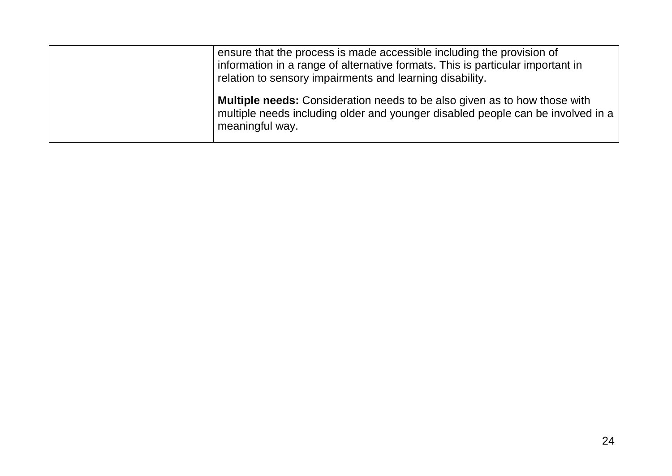| ensure that the process is made accessible including the provision of<br>information in a range of alternative formats. This is particular important in<br>relation to sensory impairments and learning disability. |
|---------------------------------------------------------------------------------------------------------------------------------------------------------------------------------------------------------------------|
| <b>Multiple needs:</b> Consideration needs to be also given as to how those with<br>multiple needs including older and younger disabled people can be involved in a<br>meaningful way.                              |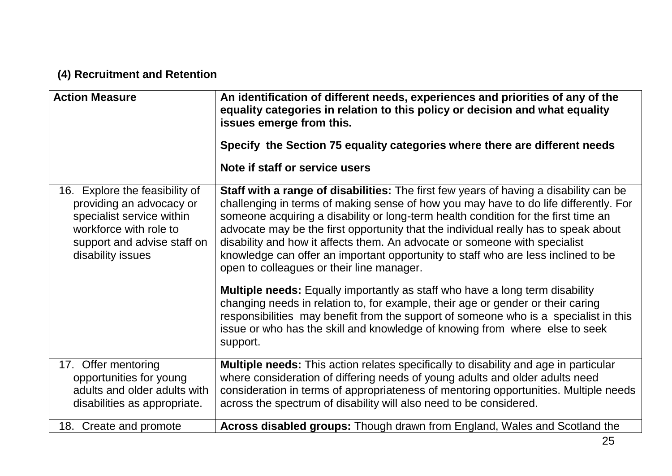# **(4) Recruitment and Retention**

| <b>Action Measure</b>                                                                                                                                                 | An identification of different needs, experiences and priorities of any of the<br>equality categories in relation to this policy or decision and what equality<br>issues emerge from this.<br>Specify the Section 75 equality categories where there are different needs<br>Note if staff or service users                                                                                                                                                                                                                                                                 |
|-----------------------------------------------------------------------------------------------------------------------------------------------------------------------|----------------------------------------------------------------------------------------------------------------------------------------------------------------------------------------------------------------------------------------------------------------------------------------------------------------------------------------------------------------------------------------------------------------------------------------------------------------------------------------------------------------------------------------------------------------------------|
| 16. Explore the feasibility of<br>providing an advocacy or<br>specialist service within<br>workforce with role to<br>support and advise staff on<br>disability issues | Staff with a range of disabilities: The first few years of having a disability can be<br>challenging in terms of making sense of how you may have to do life differently. For<br>someone acquiring a disability or long-term health condition for the first time an<br>advocate may be the first opportunity that the individual really has to speak about<br>disability and how it affects them. An advocate or someone with specialist<br>knowledge can offer an important opportunity to staff who are less inclined to be<br>open to colleagues or their line manager. |
|                                                                                                                                                                       | <b>Multiple needs:</b> Equally importantly as staff who have a long term disability<br>changing needs in relation to, for example, their age or gender or their caring<br>responsibilities may benefit from the support of someone who is a specialist in this<br>issue or who has the skill and knowledge of knowing from where else to seek<br>support.                                                                                                                                                                                                                  |
| 17. Offer mentoring<br>opportunities for young<br>adults and older adults with<br>disabilities as appropriate.                                                        | <b>Multiple needs:</b> This action relates specifically to disability and age in particular<br>where consideration of differing needs of young adults and older adults need<br>consideration in terms of appropriateness of mentoring opportunities. Multiple needs<br>across the spectrum of disability will also need to be considered.                                                                                                                                                                                                                                  |
| 18. Create and promote                                                                                                                                                | Across disabled groups: Though drawn from England, Wales and Scotland the                                                                                                                                                                                                                                                                                                                                                                                                                                                                                                  |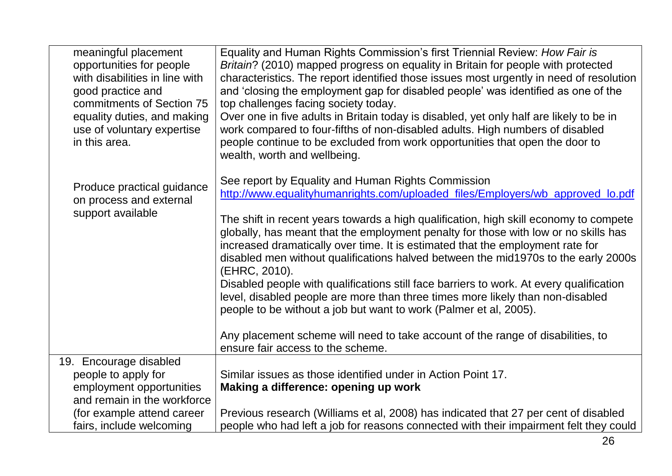| meaningful placement           | Equality and Human Rights Commission's first Triennial Review: How Fair is                          |  |
|--------------------------------|-----------------------------------------------------------------------------------------------------|--|
| opportunities for people       | Britain? (2010) mapped progress on equality in Britain for people with protected                    |  |
| with disabilities in line with | characteristics. The report identified those issues most urgently in need of resolution             |  |
| good practice and              | and 'closing the employment gap for disabled people' was identified as one of the                   |  |
| commitments of Section 75      | top challenges facing society today.                                                                |  |
| equality duties, and making    | Over one in five adults in Britain today is disabled, yet only half are likely to be in             |  |
| use of voluntary expertise     | work compared to four-fifths of non-disabled adults. High numbers of disabled                       |  |
| in this area.                  | people continue to be excluded from work opportunities that open the door to                        |  |
|                                | wealth, worth and wellbeing.                                                                        |  |
|                                |                                                                                                     |  |
| Produce practical guidance     | See report by Equality and Human Rights Commission                                                  |  |
| on process and external        | http://www.equalityhumanrights.com/uploaded_files/Employers/wb_approved_lo.pdf                      |  |
| support available              |                                                                                                     |  |
|                                | The shift in recent years towards a high qualification, high skill economy to compete               |  |
|                                | globally, has meant that the employment penalty for those with low or no skills has                 |  |
|                                | increased dramatically over time. It is estimated that the employment rate for                      |  |
|                                | disabled men without qualifications halved between the mid1970s to the early 2000s<br>(EHRC, 2010). |  |
|                                | Disabled people with qualifications still face barriers to work. At every qualification             |  |
|                                | level, disabled people are more than three times more likely than non-disabled                      |  |
|                                | people to be without a job but want to work (Palmer et al, 2005).                                   |  |
|                                |                                                                                                     |  |
|                                | Any placement scheme will need to take account of the range of disabilities, to                     |  |
|                                | ensure fair access to the scheme.                                                                   |  |
| 19. Encourage disabled         |                                                                                                     |  |
| people to apply for            | Similar issues as those identified under in Action Point 17.                                        |  |
| employment opportunities       | Making a difference: opening up work                                                                |  |
| and remain in the workforce    |                                                                                                     |  |
| (for example attend career     | Previous research (Williams et al, 2008) has indicated that 27 per cent of disabled                 |  |
| fairs, include welcoming       | people who had left a job for reasons connected with their impairment felt they could               |  |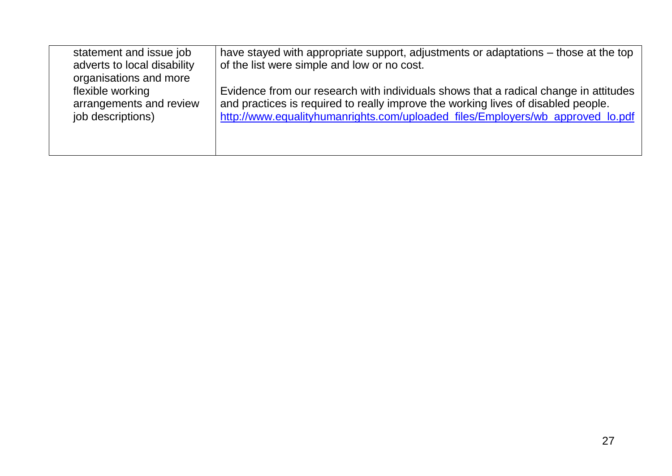| statement and issue job<br>adverts to local disability<br>organisations and more | have stayed with appropriate support, adjustments or adaptations – those at the top<br>of the list were simple and low or no cost. |
|----------------------------------------------------------------------------------|------------------------------------------------------------------------------------------------------------------------------------|
| flexible working                                                                 | Evidence from our research with individuals shows that a radical change in attitudes                                               |
| arrangements and review                                                          | and practices is required to really improve the working lives of disabled people.                                                  |
| job descriptions)                                                                | http://www.equalityhumanrights.com/uploaded_files/Employers/wb_approved_lo.pdf                                                     |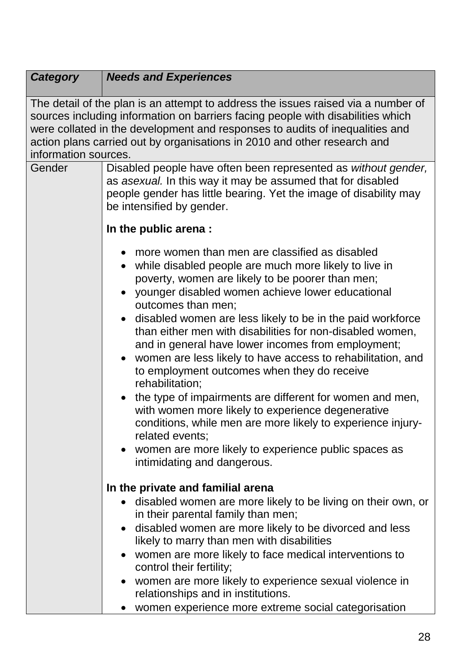| <b>Category</b>      | <b>Needs and Experiences</b>                                                                                                                                                                                                                                                                                                                                                                                                                                                                                                                                                                                                                                                                                                                                                                                                                        |
|----------------------|-----------------------------------------------------------------------------------------------------------------------------------------------------------------------------------------------------------------------------------------------------------------------------------------------------------------------------------------------------------------------------------------------------------------------------------------------------------------------------------------------------------------------------------------------------------------------------------------------------------------------------------------------------------------------------------------------------------------------------------------------------------------------------------------------------------------------------------------------------|
| information sources. | The detail of the plan is an attempt to address the issues raised via a number of<br>sources including information on barriers facing people with disabilities which<br>were collated in the development and responses to audits of inequalities and<br>action plans carried out by organisations in 2010 and other research and                                                                                                                                                                                                                                                                                                                                                                                                                                                                                                                    |
| Gender               | Disabled people have often been represented as without gender,<br>as asexual. In this way it may be assumed that for disabled<br>people gender has little bearing. Yet the image of disability may<br>be intensified by gender.                                                                                                                                                                                                                                                                                                                                                                                                                                                                                                                                                                                                                     |
|                      | In the public arena :                                                                                                                                                                                                                                                                                                                                                                                                                                                                                                                                                                                                                                                                                                                                                                                                                               |
|                      | more women than men are classified as disabled<br>while disabled people are much more likely to live in<br>poverty, women are likely to be poorer than men;<br>younger disabled women achieve lower educational<br>outcomes than men;<br>• disabled women are less likely to be in the paid workforce<br>than either men with disabilities for non-disabled women,<br>and in general have lower incomes from employment;<br>women are less likely to have access to rehabilitation, and<br>to employment outcomes when they do receive<br>rehabilitation;<br>the type of impairments are different for women and men,<br>with women more likely to experience degenerative<br>conditions, while men are more likely to experience injury-<br>related events;<br>women are more likely to experience public spaces as<br>intimidating and dangerous. |
|                      | In the private and familial arena                                                                                                                                                                                                                                                                                                                                                                                                                                                                                                                                                                                                                                                                                                                                                                                                                   |
|                      | disabled women are more likely to be living on their own, or<br>in their parental family than men;                                                                                                                                                                                                                                                                                                                                                                                                                                                                                                                                                                                                                                                                                                                                                  |
|                      | • disabled women are more likely to be divorced and less<br>likely to marry than men with disabilities                                                                                                                                                                                                                                                                                                                                                                                                                                                                                                                                                                                                                                                                                                                                              |
|                      | • women are more likely to face medical interventions to<br>control their fertility;                                                                                                                                                                                                                                                                                                                                                                                                                                                                                                                                                                                                                                                                                                                                                                |
|                      | • women are more likely to experience sexual violence in<br>relationships and in institutions.                                                                                                                                                                                                                                                                                                                                                                                                                                                                                                                                                                                                                                                                                                                                                      |
|                      | women experience more extreme social categorisation                                                                                                                                                                                                                                                                                                                                                                                                                                                                                                                                                                                                                                                                                                                                                                                                 |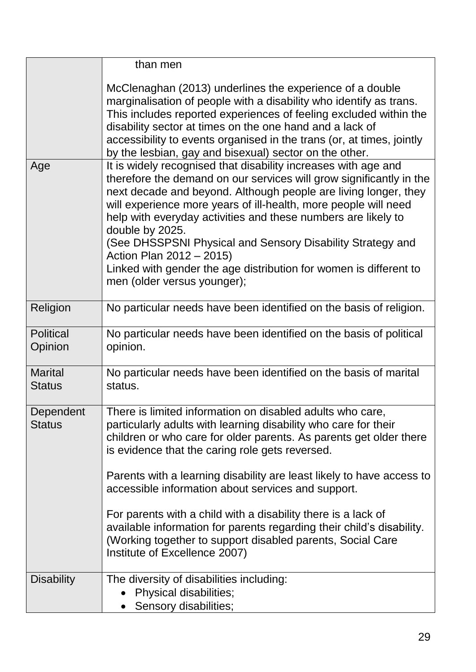|                                 | than men                                                                                                                                                                                                                                                                                                                                                                                                                                                                                                                                                                                                                      |
|---------------------------------|-------------------------------------------------------------------------------------------------------------------------------------------------------------------------------------------------------------------------------------------------------------------------------------------------------------------------------------------------------------------------------------------------------------------------------------------------------------------------------------------------------------------------------------------------------------------------------------------------------------------------------|
|                                 | McClenaghan (2013) underlines the experience of a double<br>marginalisation of people with a disability who identify as trans.<br>This includes reported experiences of feeling excluded within the<br>disability sector at times on the one hand and a lack of<br>accessibility to events organised in the trans (or, at times, jointly<br>by the lesbian, gay and bisexual) sector on the other.                                                                                                                                                                                                                            |
| Age                             | It is widely recognised that disability increases with age and<br>therefore the demand on our services will grow significantly in the<br>next decade and beyond. Although people are living longer, they<br>will experience more years of ill-health, more people will need<br>help with everyday activities and these numbers are likely to<br>double by 2025.<br>(See DHSSPSNI Physical and Sensory Disability Strategy and<br>Action Plan 2012 - 2015)<br>Linked with gender the age distribution for women is different to<br>men (older versus younger);                                                                 |
| Religion                        | No particular needs have been identified on the basis of religion.                                                                                                                                                                                                                                                                                                                                                                                                                                                                                                                                                            |
| <b>Political</b><br>Opinion     | No particular needs have been identified on the basis of political<br>opinion.                                                                                                                                                                                                                                                                                                                                                                                                                                                                                                                                                |
| <b>Marital</b><br><b>Status</b> | No particular needs have been identified on the basis of marital<br>status.                                                                                                                                                                                                                                                                                                                                                                                                                                                                                                                                                   |
| Dependent<br><b>Status</b>      | There is limited information on disabled adults who care,<br>particularly adults with learning disability who care for their<br>children or who care for older parents. As parents get older there<br>is evidence that the caring role gets reversed.<br>Parents with a learning disability are least likely to have access to<br>accessible information about services and support.<br>For parents with a child with a disability there is a lack of<br>available information for parents regarding their child's disability.<br>(Working together to support disabled parents, Social Care<br>Institute of Excellence 2007) |
| <b>Disability</b>               | The diversity of disabilities including:<br>Physical disabilities;<br>Sensory disabilities;                                                                                                                                                                                                                                                                                                                                                                                                                                                                                                                                   |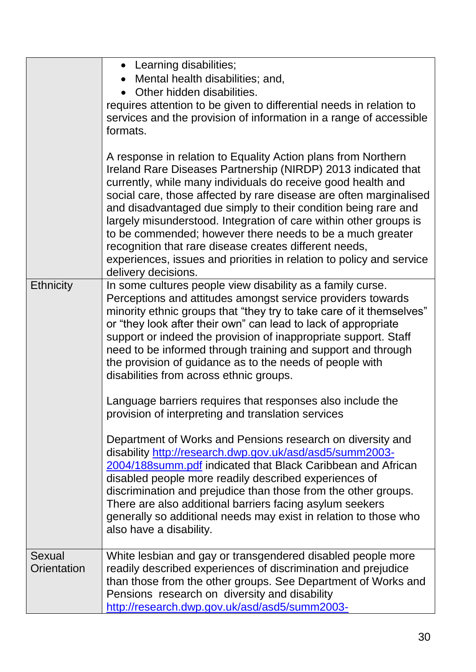|                       | • Learning disabilities;<br>• Mental health disabilities; and,<br>• Other hidden disabilities.<br>requires attention to be given to differential needs in relation to<br>services and the provision of information in a range of accessible<br>formats.                                                                                                                                                                                                                                                                                                                                                                           |
|-----------------------|-----------------------------------------------------------------------------------------------------------------------------------------------------------------------------------------------------------------------------------------------------------------------------------------------------------------------------------------------------------------------------------------------------------------------------------------------------------------------------------------------------------------------------------------------------------------------------------------------------------------------------------|
|                       | A response in relation to Equality Action plans from Northern<br>Ireland Rare Diseases Partnership (NIRDP) 2013 indicated that<br>currently, while many individuals do receive good health and<br>social care, those affected by rare disease are often marginalised<br>and disadvantaged due simply to their condition being rare and<br>largely misunderstood. Integration of care within other groups is<br>to be commended; however there needs to be a much greater<br>recognition that rare disease creates different needs,<br>experiences, issues and priorities in relation to policy and service<br>delivery decisions. |
| <b>Ethnicity</b>      | In some cultures people view disability as a family curse.<br>Perceptions and attitudes amongst service providers towards<br>minority ethnic groups that "they try to take care of it themselves"<br>or "they look after their own" can lead to lack of appropriate<br>support or indeed the provision of inappropriate support. Staff<br>need to be informed through training and support and through<br>the provision of guidance as to the needs of people with<br>disabilities from across ethnic groups.                                                                                                                     |
|                       | Language barriers requires that responses also include the<br>provision of interpreting and translation services                                                                                                                                                                                                                                                                                                                                                                                                                                                                                                                  |
|                       | Department of Works and Pensions research on diversity and<br>disability http://research.dwp.gov.uk/asd/asd5/summ2003-<br>2004/188 summ.pdf indicated that Black Caribbean and African<br>disabled people more readily described experiences of<br>discrimination and prejudice than those from the other groups.<br>There are also additional barriers facing asylum seekers<br>generally so additional needs may exist in relation to those who<br>also have a disability.                                                                                                                                                      |
| Sexual<br>Orientation | White lesbian and gay or transgendered disabled people more<br>readily described experiences of discrimination and prejudice<br>than those from the other groups. See Department of Works and<br>Pensions research on diversity and disability<br>http://research.dwp.gov.uk/asd/asd5/summ2003-                                                                                                                                                                                                                                                                                                                                   |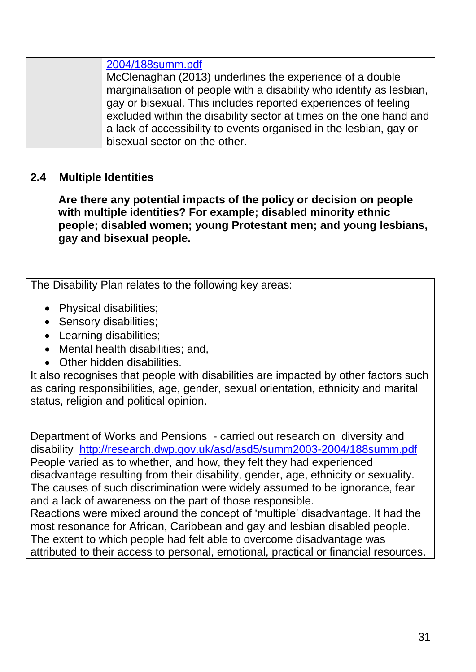### **2.4 Multiple Identities**

**Are there any potential impacts of the policy or decision on people with multiple identities? For example; disabled minority ethnic people; disabled women; young Protestant men; and young lesbians, gay and bisexual people.**

The Disability Plan relates to the following key areas:

- Physical disabilities;
- Sensory disabilities;
- Learning disabilities;
- Mental health disabilities; and,
- Other hidden disabilities.

It also recognises that people with disabilities are impacted by other factors such as caring responsibilities, age, gender, sexual orientation, ethnicity and marital status, religion and political opinion.

Department of Works and Pensions - carried out research on diversity and disability <http://research.dwp.gov.uk/asd/asd5/summ2003-2004/188summ.pdf> People varied as to whether, and how, they felt they had experienced disadvantage resulting from their disability, gender, age, ethnicity or sexuality. The causes of such discrimination were widely assumed to be ignorance, fear and a lack of awareness on the part of those responsible. Reactions were mixed around the concept of 'multiple' disadvantage. It had the most resonance for African, Caribbean and gay and lesbian disabled people.

The extent to which people had felt able to overcome disadvantage was attributed to their access to personal, emotional, practical or financial resources.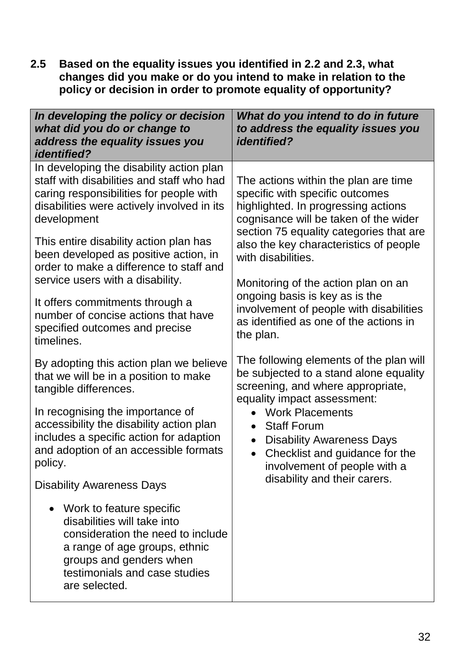**2.5 Based on the equality issues you identified in 2.2 and 2.3, what changes did you make or do you intend to make in relation to the policy or decision in order to promote equality of opportunity?**

| In developing the policy or decision<br>what did you do or change to<br>address the equality issues you<br><i>identified?</i>                                                                                           | What do you intend to do in future<br>to address the equality issues you<br><i>identified?</i>                                                                                                     |  |
|-------------------------------------------------------------------------------------------------------------------------------------------------------------------------------------------------------------------------|----------------------------------------------------------------------------------------------------------------------------------------------------------------------------------------------------|--|
| In developing the disability action plan<br>staff with disabilities and staff who had<br>caring responsibilities for people with<br>disabilities were actively involved in its<br>development                           | The actions within the plan are time<br>specific with specific outcomes<br>highlighted. In progressing actions<br>cognisance will be taken of the wider<br>section 75 equality categories that are |  |
| This entire disability action plan has<br>been developed as positive action, in<br>order to make a difference to staff and<br>service users with a disability.                                                          | also the key characteristics of people<br>with disabilities.<br>Monitoring of the action plan on an                                                                                                |  |
| It offers commitments through a<br>number of concise actions that have<br>specified outcomes and precise<br>timelines.                                                                                                  | ongoing basis is key as is the<br>involvement of people with disabilities<br>as identified as one of the actions in<br>the plan.                                                                   |  |
| By adopting this action plan we believe<br>that we will be in a position to make<br>tangible differences.                                                                                                               | The following elements of the plan will<br>be subjected to a stand alone equality<br>screening, and where appropriate,<br>equality impact assessment:                                              |  |
| In recognising the importance of<br>accessibility the disability action plan<br>includes a specific action for adaption<br>and adoption of an accessible formats<br>policy.                                             | <b>Work Placements</b><br><b>Staff Forum</b><br>$\bullet$<br><b>Disability Awareness Days</b><br>$\bullet$<br>Checklist and guidance for the<br>$\bullet$<br>involvement of people with a          |  |
| <b>Disability Awareness Days</b>                                                                                                                                                                                        | disability and their carers.                                                                                                                                                                       |  |
| Work to feature specific<br>$\bullet$<br>disabilities will take into<br>consideration the need to include<br>a range of age groups, ethnic<br>groups and genders when<br>testimonials and case studies<br>are selected. |                                                                                                                                                                                                    |  |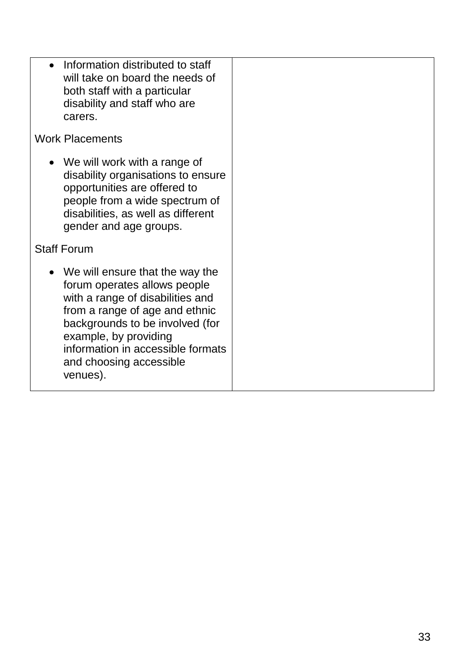| • Information distributed to staff<br>will take on board the needs of<br>both staff with a particular<br>disability and staff who are<br>carers.                                                                                                                                |  |
|---------------------------------------------------------------------------------------------------------------------------------------------------------------------------------------------------------------------------------------------------------------------------------|--|
| <b>Work Placements</b>                                                                                                                                                                                                                                                          |  |
| • We will work with a range of<br>disability organisations to ensure<br>opportunities are offered to<br>people from a wide spectrum of<br>disabilities, as well as different<br>gender and age groups.                                                                          |  |
| <b>Staff Forum</b>                                                                                                                                                                                                                                                              |  |
| • We will ensure that the way the<br>forum operates allows people<br>with a range of disabilities and<br>from a range of age and ethnic<br>backgrounds to be involved (for<br>example, by providing<br>information in accessible formats<br>and choosing accessible<br>venues). |  |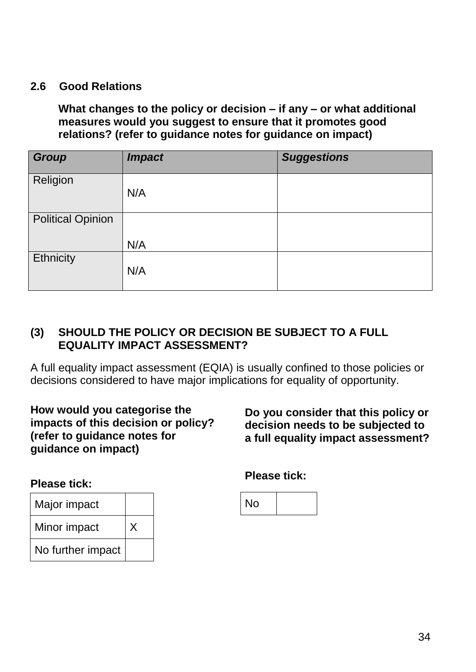### **2.6 Good Relations**

**What changes to the policy or decision – if any – or what additional measures would you suggest to ensure that it promotes good relations? (refer to guidance notes for guidance on impact)**

| <b>Group</b>             | <b>Impact</b> | <b>Suggestions</b> |
|--------------------------|---------------|--------------------|
| Religion                 | N/A           |                    |
| <b>Political Opinion</b> |               |                    |
|                          | N/A           |                    |
| Ethnicity                | N/A           |                    |

### **(3) SHOULD THE POLICY OR DECISION BE SUBJECT TO A FULL EQUALITY IMPACT ASSESSMENT?**

A full equality impact assessment (EQIA) is usually confined to those policies or decisions considered to have major implications for equality of opportunity.

### **How would you categorise the impacts of this decision or policy? (refer to guidance notes for guidance on impact)**

**Do you consider that this policy or decision needs to be subjected to a full equality impact assessment?**

#### **Please tick:**



### **Please tick:**

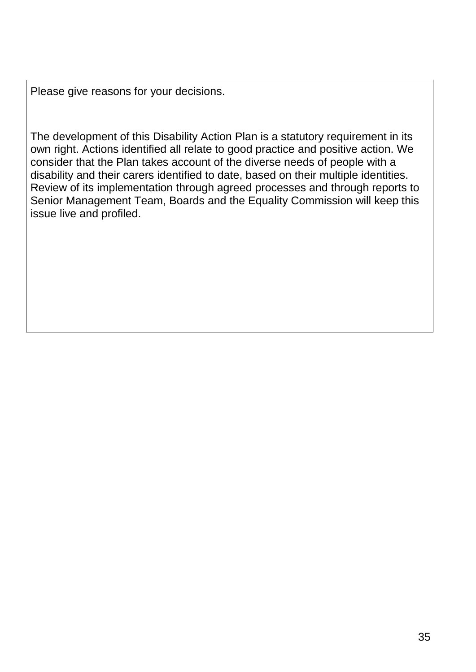Please give reasons for your decisions.

The development of this Disability Action Plan is a statutory requirement in its own right. Actions identified all relate to good practice and positive action. We consider that the Plan takes account of the diverse needs of people with a disability and their carers identified to date, based on their multiple identities. Review of its implementation through agreed processes and through reports to Senior Management Team, Boards and the Equality Commission will keep this issue live and profiled.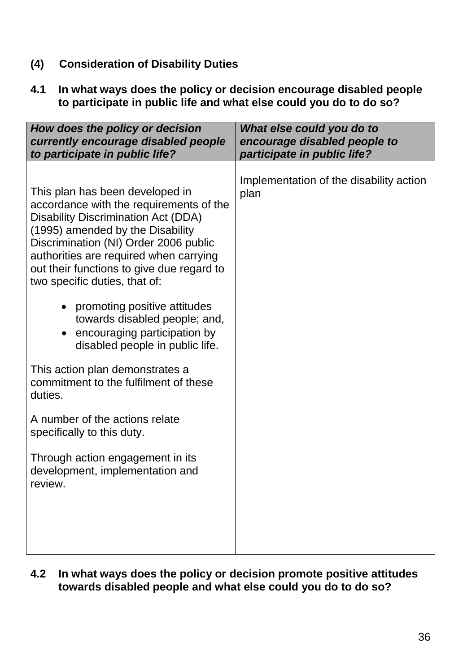- **(4) Consideration of Disability Duties**
- **4.1 In what ways does the policy or decision encourage disabled people to participate in public life and what else could you do to do so?**

| How does the policy or decision<br>currently encourage disabled people<br>to participate in public life?                                                                                                                                                                                                                                                                                                                                                                       | What else could you do to<br>encourage disabled people to<br>participate in public life? |
|--------------------------------------------------------------------------------------------------------------------------------------------------------------------------------------------------------------------------------------------------------------------------------------------------------------------------------------------------------------------------------------------------------------------------------------------------------------------------------|------------------------------------------------------------------------------------------|
| This plan has been developed in<br>accordance with the requirements of the<br><b>Disability Discrimination Act (DDA)</b><br>(1995) amended by the Disability<br>Discrimination (NI) Order 2006 public<br>authorities are required when carrying<br>out their functions to give due regard to<br>two specific duties, that of:<br>promoting positive attitudes<br>$\bullet$<br>towards disabled people; and,<br>encouraging participation by<br>disabled people in public life. | Implementation of the disability action<br>plan                                          |
| This action plan demonstrates a<br>commitment to the fulfilment of these<br>duties.                                                                                                                                                                                                                                                                                                                                                                                            |                                                                                          |
| A number of the actions relate<br>specifically to this duty.                                                                                                                                                                                                                                                                                                                                                                                                                   |                                                                                          |
| Through action engagement in its<br>development, implementation and<br>review.                                                                                                                                                                                                                                                                                                                                                                                                 |                                                                                          |
|                                                                                                                                                                                                                                                                                                                                                                                                                                                                                |                                                                                          |

**4.2 In what ways does the policy or decision promote positive attitudes towards disabled people and what else could you do to do so?**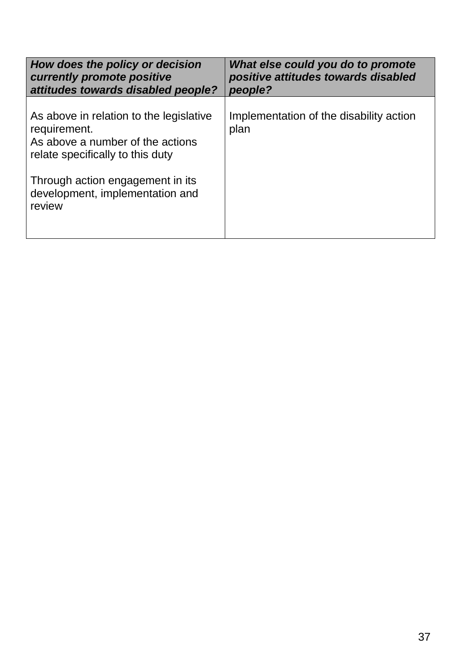| How does the policy or decision<br>currently promote positive<br>attitudes towards disabled people?                                                                                                              | What else could you do to promote<br>positive attitudes towards disabled<br>people? |
|------------------------------------------------------------------------------------------------------------------------------------------------------------------------------------------------------------------|-------------------------------------------------------------------------------------|
| As above in relation to the legislative<br>requirement.<br>As above a number of the actions<br>relate specifically to this duty<br>Through action engagement in its<br>development, implementation and<br>review | Implementation of the disability action<br>plan                                     |
|                                                                                                                                                                                                                  |                                                                                     |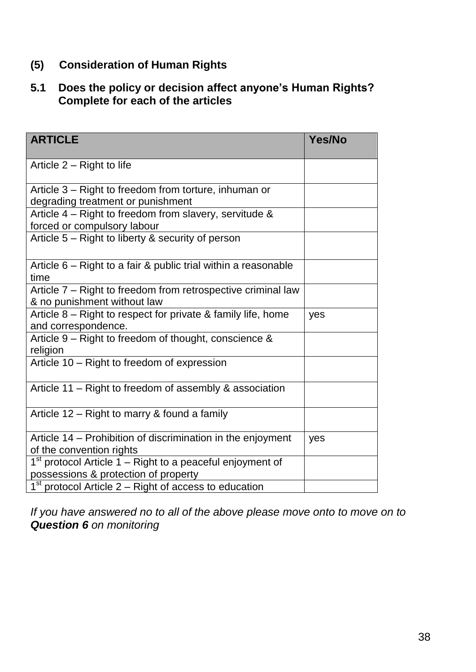# **(5) Consideration of Human Rights**

# **5.1 Does the policy or decision affect anyone's Human Rights? Complete for each of the articles**

| <b>ARTICLE</b>                                                                                      | Yes/No |
|-----------------------------------------------------------------------------------------------------|--------|
| Article 2 – Right to life                                                                           |        |
| Article 3 – Right to freedom from torture, inhuman or<br>degrading treatment or punishment          |        |
| Article $4$ – Right to freedom from slavery, servitude &<br>forced or compulsory labour             |        |
| Article 5 - Right to liberty & security of person                                                   |        |
| Article 6 – Right to a fair & public trial within a reasonable<br>time                              |        |
| Article 7 – Right to freedom from retrospective criminal law<br>& no punishment without law         |        |
| Article 8 – Right to respect for private & family life, home<br>and correspondence.                 | yes    |
| Article 9 – Right to freedom of thought, conscience &<br>religion                                   |        |
| Article 10 – Right to freedom of expression                                                         |        |
| Article 11 – Right to freedom of assembly & association                                             |        |
| Article 12 – Right to marry & found a family                                                        |        |
| Article 14 – Prohibition of discrimination in the enjoyment<br>of the convention rights             | yes    |
| $1st$ protocol Article 1 – Right to a peaceful enjoyment of<br>possessions & protection of property |        |
| $1st$ protocol Article 2 – Right of access to education                                             |        |

*If you have answered no to all of the above please move onto to move on to Question 6 on monitoring*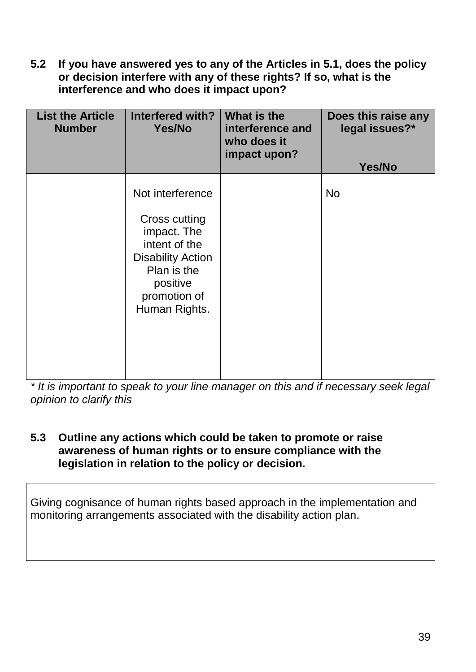**5.2 If you have answered yes to any of the Articles in 5.1, does the policy or decision interfere with any of these rights? If so, what is the interference and who does it impact upon?**

| <b>List the Article</b><br><b>Number</b> | Interfered with?<br>Yes/No                                                                                                                                | What is the<br>interference and<br>who does it<br>impact upon? | Does this raise any<br>legal issues?*<br>Yes/No |
|------------------------------------------|-----------------------------------------------------------------------------------------------------------------------------------------------------------|----------------------------------------------------------------|-------------------------------------------------|
|                                          | Not interference<br>Cross cutting<br>impact. The<br>intent of the<br><b>Disability Action</b><br>Plan is the<br>positive<br>promotion of<br>Human Rights. |                                                                | <b>No</b>                                       |

*\* It is important to speak to your line manager on this and if necessary seek legal opinion to clarify this* 

### **5.3 Outline any actions which could be taken to promote or raise awareness of human rights or to ensure compliance with the legislation in relation to the policy or decision.**

Giving cognisance of human rights based approach in the implementation and monitoring arrangements associated with the disability action plan.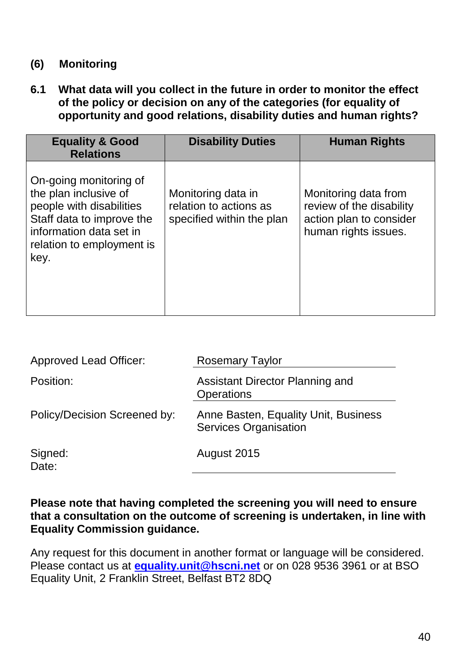# **(6) Monitoring**

**6.1 What data will you collect in the future in order to monitor the effect of the policy or decision on any of the categories (for equality of opportunity and good relations, disability duties and human rights?**

| <b>Equality &amp; Good</b><br><b>Relations</b>                                                                                                                           | <b>Disability Duties</b>                                                  | <b>Human Rights</b>                                                                                 |
|--------------------------------------------------------------------------------------------------------------------------------------------------------------------------|---------------------------------------------------------------------------|-----------------------------------------------------------------------------------------------------|
| On-going monitoring of<br>the plan inclusive of<br>people with disabilities<br>Staff data to improve the<br>information data set in<br>relation to employment is<br>key. | Monitoring data in<br>relation to actions as<br>specified within the plan | Monitoring data from<br>review of the disability<br>action plan to consider<br>human rights issues. |

| <b>Approved Lead Officer:</b> | <b>Rosemary Taylor</b>                                               |
|-------------------------------|----------------------------------------------------------------------|
| Position:                     | Assistant Director Planning and<br><b>Operations</b>                 |
| Policy/Decision Screened by:  | Anne Basten, Equality Unit, Business<br><b>Services Organisation</b> |
| Signed:<br>Date:              | August 2015                                                          |

#### **Please note that having completed the screening you will need to ensure that a consultation on the outcome of screening is undertaken, in line with Equality Commission guidance.**

Any request for this document in another format or language will be considered. Please contact us at **[equality.unit@hscni.net](mailto:equality.unit@hscni.net)** or on 028 9536 3961 or at BSO Equality Unit, 2 Franklin Street, Belfast BT2 8DQ